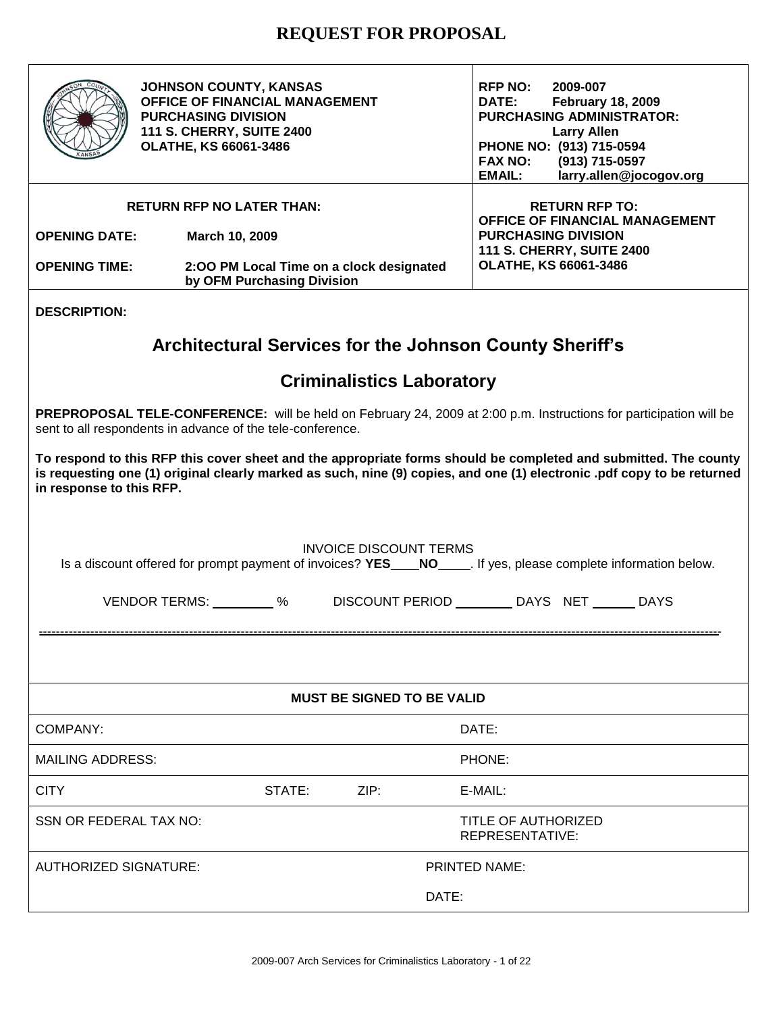

**JOHNSON COUNTY, KANSAS OFFICE OF FINANCIAL MANAGEMENT PURCHASING DIVISION 111 S. CHERRY, SUITE 2400 OLATHE, KS 66061-3486**

**RFP NO: 2009-007 DATE: February 18, 2009 PURCHASING ADMINISTRATOR: Larry Allen PHONE NO: (913) 715-0594 FAX NO: (913) 715-0597 EMAIL: larry.allen@jocogov.org**

|                      | <b>RETURN RFP NO LATER THAN:</b>                                       | <b>RETURN RFP TO:</b>                 |
|----------------------|------------------------------------------------------------------------|---------------------------------------|
|                      |                                                                        | <b>OFFICE OF FINANCIAL MANAGEMENT</b> |
| <b>OPENING DATE:</b> | March 10, 2009                                                         | <b>PURCHASING DIVISION</b>            |
|                      |                                                                        | <b>111 S. CHERRY, SUITE 2400</b>      |
| <b>OPENING TIME:</b> | 2:00 PM Local Time on a clock designated<br>by OFM Purchasing Division | <b>OLATHE, KS 66061-3486</b>          |

### **DESCRIPTION:**

# **Architectural Services for the Johnson County Sheriff's**

# **Criminalistics Laboratory**

**PREPROPOSAL TELE-CONFERENCE:** will be held on February 24, 2009 at 2:00 p.m. Instructions for participation will be sent to all respondents in advance of the tele-conference.

**To respond to this RFP this cover sheet and the appropriate forms should be completed and submitted. The county is requesting one (1) original clearly marked as such, nine (9) copies, and one (1) electronic .pdf copy to be returned in response to this RFP.**

| <b>INVOICE DISCOUNT TERMS</b> |                          |  |                |  |
|-------------------------------|--------------------------|--|----------------|--|
|                               | $\overline{\phantom{a}}$ |  | $\blacksquare$ |  |

Is a discount offered for prompt payment of invoices? **YES NO** . If yes, please complete information below.

| <b>VENDOR TERMS:</b> | <b>DISCOUNT PERIOD</b> | DAYS NET | DAYS |
|----------------------|------------------------|----------|------|
|                      |                        |          |      |

---------------------------------------------------------------------------------------------------------------------------------------------------------------

| <b>MUST BE SIGNED TO BE VALID</b> |        |      |                                        |  |  |
|-----------------------------------|--------|------|----------------------------------------|--|--|
| COMPANY:                          |        |      | DATE:                                  |  |  |
| <b>MAILING ADDRESS:</b>           |        |      | PHONE:                                 |  |  |
| <b>CITY</b>                       | STATE: | ZIP: | E-MAIL:                                |  |  |
| SSN OR FEDERAL TAX NO:            |        |      | TITLE OF AUTHORIZED<br>REPRESENTATIVE: |  |  |
| <b>AUTHORIZED SIGNATURE:</b>      |        |      | PRINTED NAME:                          |  |  |
|                                   |        |      | DATE:                                  |  |  |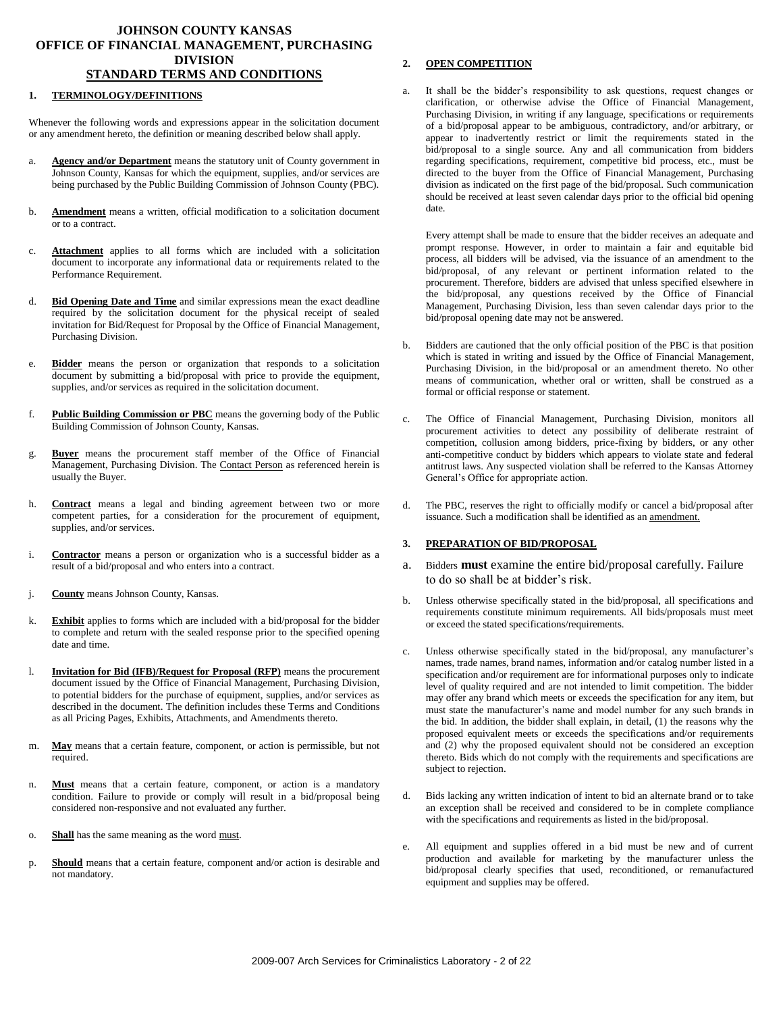### **JOHNSON COUNTY KANSAS OFFICE OF FINANCIAL MANAGEMENT, PURCHASING DIVISION STANDARD TERMS AND CONDITIONS**

#### **1. TERMINOLOGY/DEFINITIONS**

Whenever the following words and expressions appear in the solicitation document or any amendment hereto, the definition or meaning described below shall apply.

- a. **Agency and/or Department** means the statutory unit of County government in Johnson County, Kansas for which the equipment, supplies, and/or services are being purchased by the Public Building Commission of Johnson County (PBC).
- b. **Amendment** means a written, official modification to a solicitation document or to a contract.
- c. **Attachment** applies to all forms which are included with a solicitation document to incorporate any informational data or requirements related to the Performance Requirement.
- d. **Bid Opening Date and Time** and similar expressions mean the exact deadline required by the solicitation document for the physical receipt of sealed invitation for Bid/Request for Proposal by the Office of Financial Management, Purchasing Division.
- e. **Bidder** means the person or organization that responds to a solicitation document by submitting a bid/proposal with price to provide the equipment, supplies, and/or services as required in the solicitation document.
- f. **Public Building Commission or PBC** means the governing body of the Public Building Commission of Johnson County, Kansas.
- g. **Buyer** means the procurement staff member of the Office of Financial Management, Purchasing Division. The **Contact Person** as referenced herein is usually the Buyer.
- h. **Contract** means a legal and binding agreement between two or more competent parties, for a consideration for the procurement of equipment, supplies, and/or services.
- i. **Contractor** means a person or organization who is a successful bidder as a result of a bid/proposal and who enters into a contract.
- j. **County** means Johnson County, Kansas.
- k. **Exhibit** applies to forms which are included with a bid/proposal for the bidder to complete and return with the sealed response prior to the specified opening date and time.
- l. **Invitation for Bid (IFB)/Request for Proposal (RFP)** means the procurement document issued by the Office of Financial Management, Purchasing Division, to potential bidders for the purchase of equipment, supplies, and/or services as described in the document. The definition includes these Terms and Conditions as all Pricing Pages, Exhibits, Attachments, and Amendments thereto.
- m. **May** means that a certain feature, component, or action is permissible, but not required.
- n. **Must** means that a certain feature, component, or action is a mandatory condition. Failure to provide or comply will result in a bid/proposal being considered non-responsive and not evaluated any further.
- o. **Shall** has the same meaning as the word must.
- p. **Should** means that a certain feature, component and/or action is desirable and not mandatory.

#### **2. OPEN COMPETITION**

It shall be the bidder's responsibility to ask questions, request changes or clarification, or otherwise advise the Office of Financial Management, Purchasing Division, in writing if any language, specifications or requirements of a bid/proposal appear to be ambiguous, contradictory, and/or arbitrary, or appear to inadvertently restrict or limit the requirements stated in the bid/proposal to a single source. Any and all communication from bidders regarding specifications, requirement, competitive bid process, etc., must be directed to the buyer from the Office of Financial Management, Purchasing division as indicated on the first page of the bid/proposal. Such communication should be received at least seven calendar days prior to the official bid opening date.

Every attempt shall be made to ensure that the bidder receives an adequate and prompt response. However, in order to maintain a fair and equitable bid process, all bidders will be advised, via the issuance of an amendment to the bid/proposal, of any relevant or pertinent information related to the procurement. Therefore, bidders are advised that unless specified elsewhere in the bid/proposal, any questions received by the Office of Financial Management, Purchasing Division, less than seven calendar days prior to the bid/proposal opening date may not be answered.

- b. Bidders are cautioned that the only official position of the PBC is that position which is stated in writing and issued by the Office of Financial Management, Purchasing Division, in the bid/proposal or an amendment thereto. No other means of communication, whether oral or written, shall be construed as a formal or official response or statement.
- c. The Office of Financial Management, Purchasing Division, monitors all procurement activities to detect any possibility of deliberate restraint of competition, collusion among bidders, price-fixing by bidders, or any other anti-competitive conduct by bidders which appears to violate state and federal antitrust laws. Any suspected violation shall be referred to the Kansas Attorney General's Office for appropriate action.
- d. The PBC, reserves the right to officially modify or cancel a bid/proposal after issuance. Such a modification shall be identified as an amendment.

#### **3. PREPARATION OF BID/PROPOSAL**

- a. Bidders **must** examine the entire bid/proposal carefully. Failure to do so shall be at bidder's risk.
- b. Unless otherwise specifically stated in the bid/proposal, all specifications and requirements constitute minimum requirements. All bids/proposals must meet or exceed the stated specifications/requirements.
- Unless otherwise specifically stated in the bid/proposal, any manufacturer's names, trade names, brand names, information and/or catalog number listed in a specification and/or requirement are for informational purposes only to indicate level of quality required and are not intended to limit competition. The bidder may offer any brand which meets or exceeds the specification for any item, but must state the manufacturer's name and model number for any such brands in the bid. In addition, the bidder shall explain, in detail, (1) the reasons why the proposed equivalent meets or exceeds the specifications and/or requirements and (2) why the proposed equivalent should not be considered an exception thereto. Bids which do not comply with the requirements and specifications are subject to rejection.
- d. Bids lacking any written indication of intent to bid an alternate brand or to take an exception shall be received and considered to be in complete compliance with the specifications and requirements as listed in the bid/proposal.
- All equipment and supplies offered in a bid must be new and of current production and available for marketing by the manufacturer unless the bid/proposal clearly specifies that used, reconditioned, or remanufactured equipment and supplies may be offered.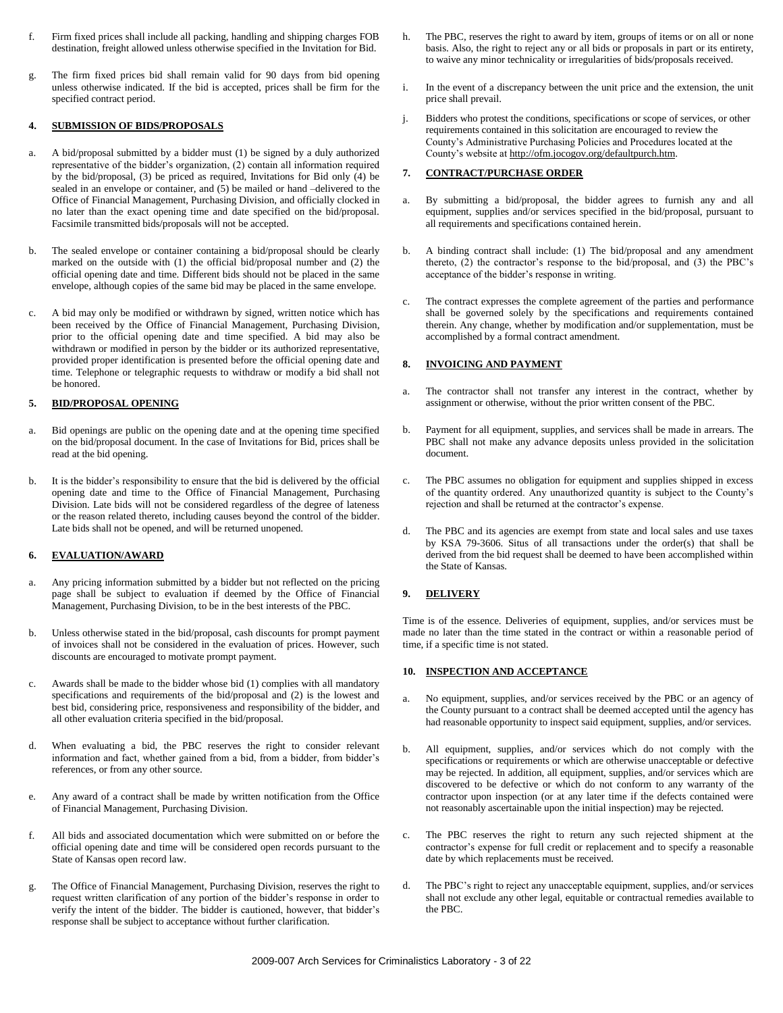- f. Firm fixed prices shall include all packing, handling and shipping charges FOB destination, freight allowed unless otherwise specified in the Invitation for Bid.
- g. The firm fixed prices bid shall remain valid for 90 days from bid opening unless otherwise indicated. If the bid is accepted, prices shall be firm for the specified contract period.

#### **4. SUBMISSION OF BIDS/PROPOSALS**

- a. A bid/proposal submitted by a bidder must (1) be signed by a duly authorized representative of the bidder's organization, (2) contain all information required by the bid/proposal, (3) be priced as required, Invitations for Bid only (4) be sealed in an envelope or container, and (5) be mailed or hand –delivered to the Office of Financial Management, Purchasing Division, and officially clocked in no later than the exact opening time and date specified on the bid/proposal. Facsimile transmitted bids/proposals will not be accepted.
- b. The sealed envelope or container containing a bid/proposal should be clearly marked on the outside with (1) the official bid/proposal number and (2) the official opening date and time. Different bids should not be placed in the same envelope, although copies of the same bid may be placed in the same envelope.
- A bid may only be modified or withdrawn by signed, written notice which has been received by the Office of Financial Management, Purchasing Division, prior to the official opening date and time specified. A bid may also be withdrawn or modified in person by the bidder or its authorized representative, provided proper identification is presented before the official opening date and time. Telephone or telegraphic requests to withdraw or modify a bid shall not be honored.

#### **5. BID/PROPOSAL OPENING**

- a. Bid openings are public on the opening date and at the opening time specified on the bid/proposal document. In the case of Invitations for Bid, prices shall be read at the bid opening.
- b. It is the bidder's responsibility to ensure that the bid is delivered by the official opening date and time to the Office of Financial Management, Purchasing Division. Late bids will not be considered regardless of the degree of lateness or the reason related thereto, including causes beyond the control of the bidder. Late bids shall not be opened, and will be returned unopened.

#### **6. EVALUATION/AWARD**

- a. Any pricing information submitted by a bidder but not reflected on the pricing page shall be subject to evaluation if deemed by the Office of Financial Management, Purchasing Division, to be in the best interests of the PBC.
- b. Unless otherwise stated in the bid/proposal, cash discounts for prompt payment of invoices shall not be considered in the evaluation of prices. However, such discounts are encouraged to motivate prompt payment.
- c. Awards shall be made to the bidder whose bid (1) complies with all mandatory specifications and requirements of the bid/proposal and (2) is the lowest and best bid, considering price, responsiveness and responsibility of the bidder, and all other evaluation criteria specified in the bid/proposal.
- When evaluating a bid, the PBC reserves the right to consider relevant information and fact, whether gained from a bid, from a bidder, from bidder's references, or from any other source.
- e. Any award of a contract shall be made by written notification from the Office of Financial Management, Purchasing Division.
- f. All bids and associated documentation which were submitted on or before the official opening date and time will be considered open records pursuant to the State of Kansas open record law.
- g. The Office of Financial Management, Purchasing Division, reserves the right to request written clarification of any portion of the bidder's response in order to verify the intent of the bidder. The bidder is cautioned, however, that bidder's response shall be subject to acceptance without further clarification.
- h. The PBC, reserves the right to award by item, groups of items or on all or none basis. Also, the right to reject any or all bids or proposals in part or its entirety, to waive any minor technicality or irregularities of bids/proposals received.
- i. In the event of a discrepancy between the unit price and the extension, the unit price shall prevail.
- j. Bidders who protest the conditions, specifications or scope of services, or other requirements contained in this solicitation are encouraged to review the County's Administrative Purchasing Policies and Procedures located at the County's website a[t http://ofm.jocogov.org/defaultpurch.htm.](http://ofm.jocogov.org/defaultpurch.htm)

#### **7. CONTRACT/PURCHASE ORDER**

- a. By submitting a bid/proposal, the bidder agrees to furnish any and all equipment, supplies and/or services specified in the bid/proposal, pursuant to all requirements and specifications contained herein.
- b. A binding contract shall include: (1) The bid/proposal and any amendment thereto, (2) the contractor's response to the bid/proposal, and (3) the PBC's acceptance of the bidder's response in writing.
- c. The contract expresses the complete agreement of the parties and performance shall be governed solely by the specifications and requirements contained therein. Any change, whether by modification and/or supplementation, must be accomplished by a formal contract amendment.

#### **8. INVOICING AND PAYMENT**

- a. The contractor shall not transfer any interest in the contract, whether by assignment or otherwise, without the prior written consent of the PBC.
- b. Payment for all equipment, supplies, and services shall be made in arrears. The PBC shall not make any advance deposits unless provided in the solicitation document.
- c. The PBC assumes no obligation for equipment and supplies shipped in excess of the quantity ordered. Any unauthorized quantity is subject to the County's rejection and shall be returned at the contractor's expense.
- d. The PBC and its agencies are exempt from state and local sales and use taxes by KSA 79-3606. Situs of all transactions under the order(s) that shall be derived from the bid request shall be deemed to have been accomplished within the State of Kansas.

#### **9. DELIVERY**

Time is of the essence. Deliveries of equipment, supplies, and/or services must be made no later than the time stated in the contract or within a reasonable period of time, if a specific time is not stated.

#### **10. INSPECTION AND ACCEPTANCE**

- a. No equipment, supplies, and/or services received by the PBC or an agency of the County pursuant to a contract shall be deemed accepted until the agency has had reasonable opportunity to inspect said equipment, supplies, and/or services.
- b. All equipment, supplies, and/or services which do not comply with the specifications or requirements or which are otherwise unacceptable or defective may be rejected. In addition, all equipment, supplies, and/or services which are discovered to be defective or which do not conform to any warranty of the contractor upon inspection (or at any later time if the defects contained were not reasonably ascertainable upon the initial inspection) may be rejected.
- c. The PBC reserves the right to return any such rejected shipment at the contractor's expense for full credit or replacement and to specify a reasonable date by which replacements must be received.
- d. The PBC's right to reject any unacceptable equipment, supplies, and/or services shall not exclude any other legal, equitable or contractual remedies available to the PBC.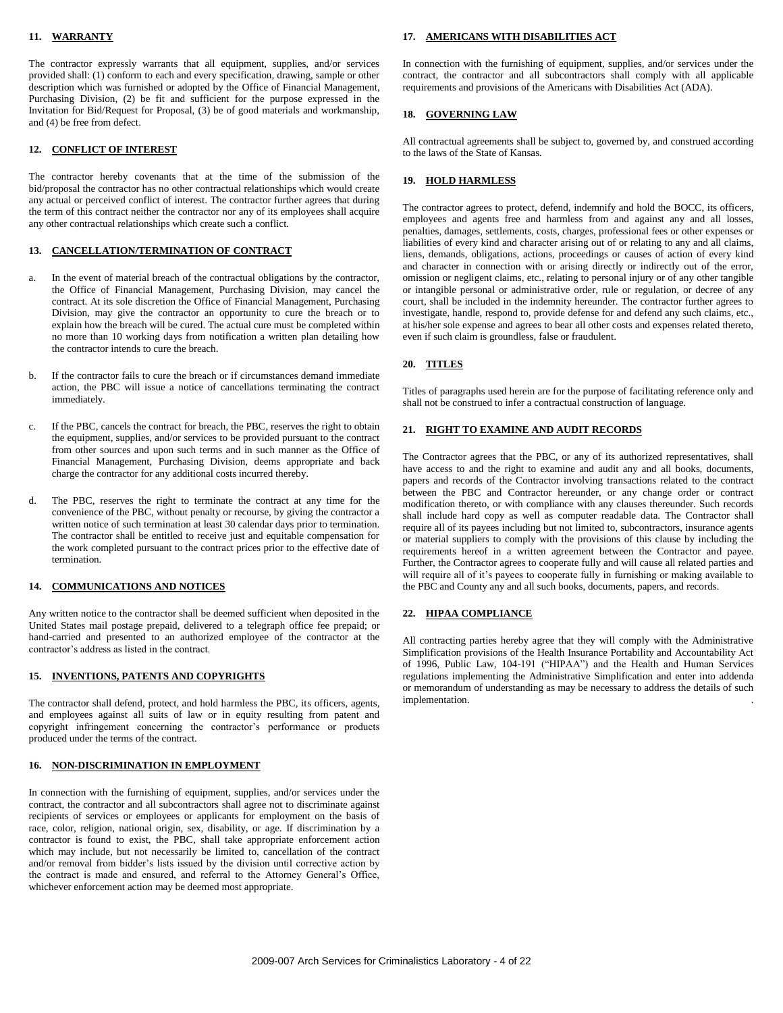#### **11. WARRANTY**

The contractor expressly warrants that all equipment, supplies, and/or services provided shall: (1) conform to each and every specification, drawing, sample or other description which was furnished or adopted by the Office of Financial Management, Purchasing Division, (2) be fit and sufficient for the purpose expressed in the Invitation for Bid/Request for Proposal, (3) be of good materials and workmanship, and (4) be free from defect.

#### **12. CONFLICT OF INTEREST**

The contractor hereby covenants that at the time of the submission of the bid/proposal the contractor has no other contractual relationships which would create any actual or perceived conflict of interest. The contractor further agrees that during the term of this contract neither the contractor nor any of its employees shall acquire any other contractual relationships which create such a conflict.

#### **13. CANCELLATION/TERMINATION OF CONTRACT**

- a. In the event of material breach of the contractual obligations by the contractor, the Office of Financial Management, Purchasing Division, may cancel the contract. At its sole discretion the Office of Financial Management, Purchasing Division, may give the contractor an opportunity to cure the breach or to explain how the breach will be cured. The actual cure must be completed within no more than 10 working days from notification a written plan detailing how the contractor intends to cure the breach.
- b. If the contractor fails to cure the breach or if circumstances demand immediate action, the PBC will issue a notice of cancellations terminating the contract immediately.
- c. If the PBC, cancels the contract for breach, the PBC, reserves the right to obtain the equipment, supplies, and/or services to be provided pursuant to the contract from other sources and upon such terms and in such manner as the Office of Financial Management, Purchasing Division, deems appropriate and back charge the contractor for any additional costs incurred thereby.
- d. The PBC, reserves the right to terminate the contract at any time for the convenience of the PBC, without penalty or recourse, by giving the contractor a written notice of such termination at least 30 calendar days prior to termination. The contractor shall be entitled to receive just and equitable compensation for the work completed pursuant to the contract prices prior to the effective date of termination.

#### **14. COMMUNICATIONS AND NOTICES**

Any written notice to the contractor shall be deemed sufficient when deposited in the United States mail postage prepaid, delivered to a telegraph office fee prepaid; or hand-carried and presented to an authorized employee of the contractor at the contractor's address as listed in the contract.

#### **15. INVENTIONS, PATENTS AND COPYRIGHTS**

The contractor shall defend, protect, and hold harmless the PBC, its officers, agents, and employees against all suits of law or in equity resulting from patent and copyright infringement concerning the contractor's performance or products produced under the terms of the contract.

#### **16. NON-DISCRIMINATION IN EMPLOYMENT**

In connection with the furnishing of equipment, supplies, and/or services under the contract, the contractor and all subcontractors shall agree not to discriminate against recipients of services or employees or applicants for employment on the basis of race, color, religion, national origin, sex, disability, or age. If discrimination by a contractor is found to exist, the PBC, shall take appropriate enforcement action which may include, but not necessarily be limited to, cancellation of the contract and/or removal from bidder's lists issued by the division until corrective action by the contract is made and ensured, and referral to the Attorney General's Office, whichever enforcement action may be deemed most appropriate.

#### **17. AMERICANS WITH DISABILITIES ACT**

In connection with the furnishing of equipment, supplies, and/or services under the contract, the contractor and all subcontractors shall comply with all applicable requirements and provisions of the Americans with Disabilities Act (ADA).

#### **18. GOVERNING LAW**

All contractual agreements shall be subject to, governed by, and construed according to the laws of the State of Kansas.

#### **19. HOLD HARMLESS**

The contractor agrees to protect, defend, indemnify and hold the BOCC, its officers, employees and agents free and harmless from and against any and all losses, penalties, damages, settlements, costs, charges, professional fees or other expenses or liabilities of every kind and character arising out of or relating to any and all claims, liens, demands, obligations, actions, proceedings or causes of action of every kind and character in connection with or arising directly or indirectly out of the error, omission or negligent claims, etc., relating to personal injury or of any other tangible or intangible personal or administrative order, rule or regulation, or decree of any court, shall be included in the indemnity hereunder. The contractor further agrees to investigate, handle, respond to, provide defense for and defend any such claims, etc., at his/her sole expense and agrees to bear all other costs and expenses related thereto, even if such claim is groundless, false or fraudulent.

#### **20. TITLES**

Titles of paragraphs used herein are for the purpose of facilitating reference only and shall not be construed to infer a contractual construction of language.

#### **21. RIGHT TO EXAMINE AND AUDIT RECORDS**

The Contractor agrees that the PBC, or any of its authorized representatives, shall have access to and the right to examine and audit any and all books, documents, papers and records of the Contractor involving transactions related to the contract between the PBC and Contractor hereunder, or any change order or contract modification thereto, or with compliance with any clauses thereunder. Such records shall include hard copy as well as computer readable data. The Contractor shall require all of its payees including but not limited to, subcontractors, insurance agents or material suppliers to comply with the provisions of this clause by including the requirements hereof in a written agreement between the Contractor and payee. Further, the Contractor agrees to cooperate fully and will cause all related parties and will require all of it's payees to cooperate fully in furnishing or making available to the PBC and County any and all such books, documents, papers, and records.

#### **22. HIPAA COMPLIANCE**

All contracting parties hereby agree that they will comply with the Administrative Simplification provisions of the Health Insurance Portability and Accountability Act of 1996, Public Law, 104-191 ("HIPAA") and the Health and Human Services regulations implementing the Administrative Simplification and enter into addenda or memorandum of understanding as may be necessary to address the details of such implementation. .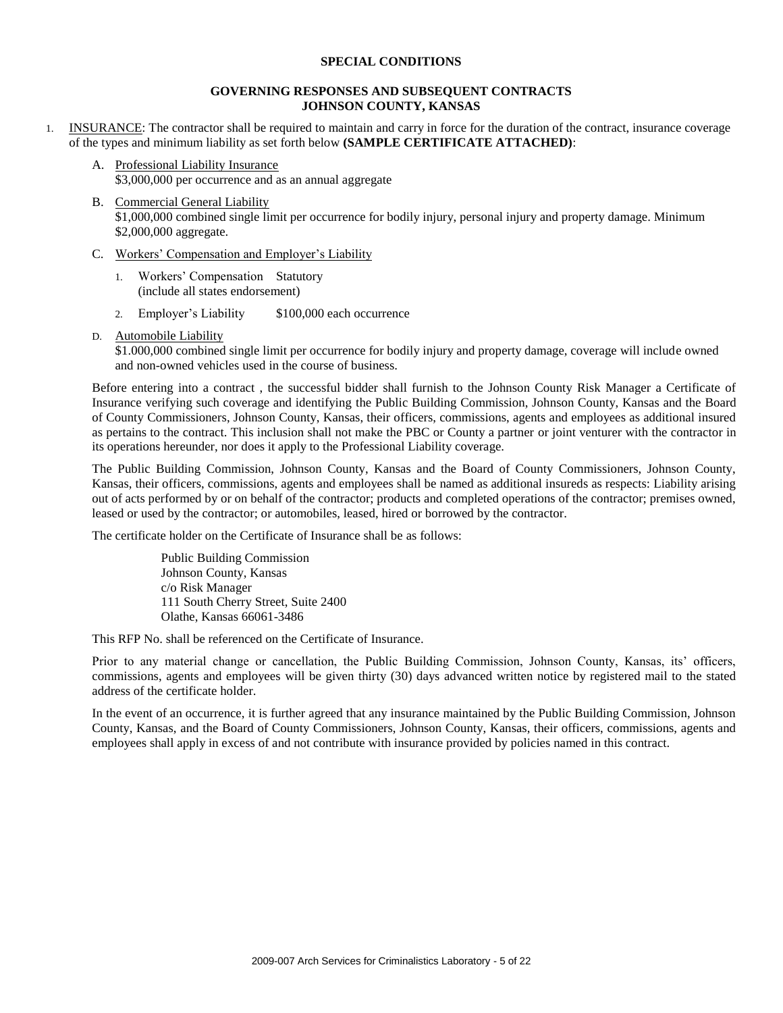#### **SPECIAL CONDITIONS**

### **GOVERNING RESPONSES AND SUBSEQUENT CONTRACTS JOHNSON COUNTY, KANSAS**

- 1. INSURANCE: The contractor shall be required to maintain and carry in force for the duration of the contract, insurance coverage of the types and minimum liability as set forth below **(SAMPLE CERTIFICATE ATTACHED)**:
	- A. Professional Liability Insurance \$3,000,000 per occurrence and as an annual aggregate
	- B. Commercial General Liability \$1,000,000 combined single limit per occurrence for bodily injury, personal injury and property damage. Minimum \$2,000,000 aggregate.
	- C. Workers' Compensation and Employer's Liability
		- 1. Workers' Compensation Statutory (include all states endorsement)
		- 2. Employer's Liability \$100,000 each occurrence
	- D. Automobile Liability

\$1.000,000 combined single limit per occurrence for bodily injury and property damage, coverage will include owned and non-owned vehicles used in the course of business.

Before entering into a contract , the successful bidder shall furnish to the Johnson County Risk Manager a Certificate of Insurance verifying such coverage and identifying the Public Building Commission, Johnson County, Kansas and the Board of County Commissioners, Johnson County, Kansas, their officers, commissions, agents and employees as additional insured as pertains to the contract. This inclusion shall not make the PBC or County a partner or joint venturer with the contractor in its operations hereunder, nor does it apply to the Professional Liability coverage.

The Public Building Commission, Johnson County, Kansas and the Board of County Commissioners, Johnson County, Kansas, their officers, commissions, agents and employees shall be named as additional insureds as respects: Liability arising out of acts performed by or on behalf of the contractor; products and completed operations of the contractor; premises owned, leased or used by the contractor; or automobiles, leased, hired or borrowed by the contractor.

The certificate holder on the Certificate of Insurance shall be as follows:

Public Building Commission Johnson County, Kansas c/o Risk Manager 111 South Cherry Street, Suite 2400 Olathe, Kansas 66061-3486

This RFP No. shall be referenced on the Certificate of Insurance.

Prior to any material change or cancellation, the Public Building Commission, Johnson County, Kansas, its' officers, commissions, agents and employees will be given thirty (30) days advanced written notice by registered mail to the stated address of the certificate holder.

In the event of an occurrence, it is further agreed that any insurance maintained by the Public Building Commission, Johnson County, Kansas, and the Board of County Commissioners, Johnson County, Kansas, their officers, commissions, agents and employees shall apply in excess of and not contribute with insurance provided by policies named in this contract.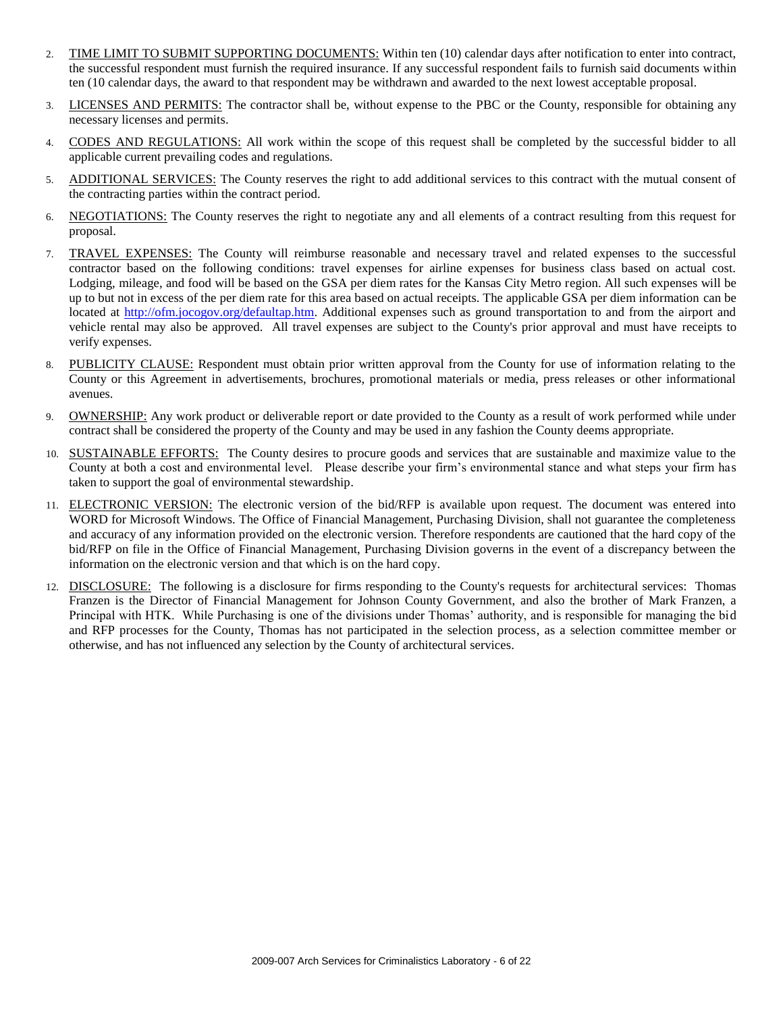- 2. TIME LIMIT TO SUBMIT SUPPORTING DOCUMENTS: Within ten (10) calendar days after notification to enter into contract, the successful respondent must furnish the required insurance. If any successful respondent fails to furnish said documents within ten (10 calendar days, the award to that respondent may be withdrawn and awarded to the next lowest acceptable proposal.
- 3. LICENSES AND PERMITS: The contractor shall be, without expense to the PBC or the County, responsible for obtaining any necessary licenses and permits.
- 4. CODES AND REGULATIONS: All work within the scope of this request shall be completed by the successful bidder to all applicable current prevailing codes and regulations.
- 5. ADDITIONAL SERVICES: The County reserves the right to add additional services to this contract with the mutual consent of the contracting parties within the contract period.
- 6. NEGOTIATIONS: The County reserves the right to negotiate any and all elements of a contract resulting from this request for proposal.
- 7. TRAVEL EXPENSES: The County will reimburse reasonable and necessary travel and related expenses to the successful contractor based on the following conditions: travel expenses for airline expenses for business class based on actual cost. Lodging, mileage, and food will be based on the GSA per diem rates for the Kansas City Metro region. All such expenses will be up to but not in excess of the per diem rate for this area based on actual receipts. The applicable GSA per diem information can be located at [http://ofm.jocogov.org/defaultap.htm.](http://ofm.jocogov.org/defaultap.htm) Additional expenses such as ground transportation to and from the airport and vehicle rental may also be approved. All travel expenses are subject to the County's prior approval and must have receipts to verify expenses.
- 8. PUBLICITY CLAUSE: Respondent must obtain prior written approval from the County for use of information relating to the County or this Agreement in advertisements, brochures, promotional materials or media, press releases or other informational avenues.
- 9. OWNERSHIP: Any work product or deliverable report or date provided to the County as a result of work performed while under contract shall be considered the property of the County and may be used in any fashion the County deems appropriate.
- 10. SUSTAINABLE EFFORTS: The County desires to procure goods and services that are sustainable and maximize value to the County at both a cost and environmental level. Please describe your firm's environmental stance and what steps your firm has taken to support the goal of environmental stewardship.
- 11. ELECTRONIC VERSION: The electronic version of the bid/RFP is available upon request. The document was entered into WORD for Microsoft Windows. The Office of Financial Management, Purchasing Division, shall not guarantee the completeness and accuracy of any information provided on the electronic version. Therefore respondents are cautioned that the hard copy of the bid/RFP on file in the Office of Financial Management, Purchasing Division governs in the event of a discrepancy between the information on the electronic version and that which is on the hard copy.
- 12. DISCLOSURE: The following is a disclosure for firms responding to the County's requests for architectural services: Thomas Franzen is the Director of Financial Management for Johnson County Government, and also the brother of Mark Franzen, a Principal with HTK. While Purchasing is one of the divisions under Thomas' authority, and is responsible for managing the bid and RFP processes for the County, Thomas has not participated in the selection process, as a selection committee member or otherwise, and has not influenced any selection by the County of architectural services.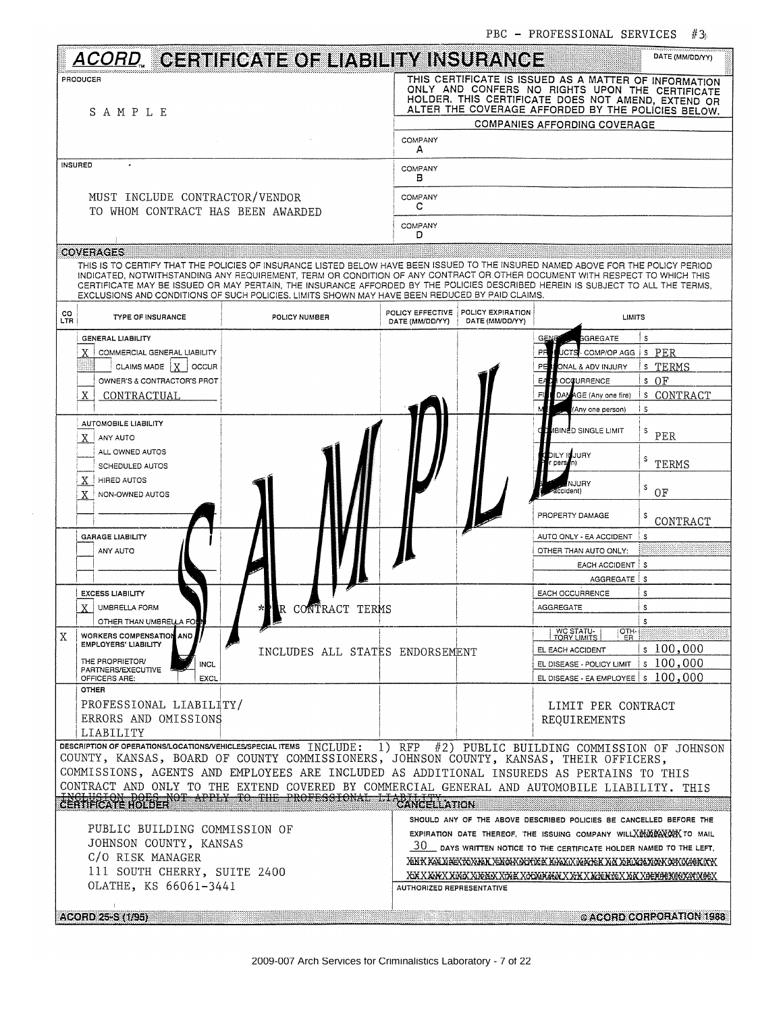|                                                                                                                                                                 |                                                                                                                                                                                                                                                                                                                                                                                                                                                                                                    |                                     |                                      | IDC - INUILOOIUNAL OLNVIULO                                                                                                                                                                                                                                                                | 11 Y                                                          |
|-----------------------------------------------------------------------------------------------------------------------------------------------------------------|----------------------------------------------------------------------------------------------------------------------------------------------------------------------------------------------------------------------------------------------------------------------------------------------------------------------------------------------------------------------------------------------------------------------------------------------------------------------------------------------------|-------------------------------------|--------------------------------------|--------------------------------------------------------------------------------------------------------------------------------------------------------------------------------------------------------------------------------------------------------------------------------------------|---------------------------------------------------------------|
|                                                                                                                                                                 | <u>ACORD,</u> CERTIFICATE OF LIABILITY INSURANCE                                                                                                                                                                                                                                                                                                                                                                                                                                                   |                                     |                                      |                                                                                                                                                                                                                                                                                            | DATE (MM/DD/YY)                                               |
| PRODUCER<br>SAMPLE                                                                                                                                              |                                                                                                                                                                                                                                                                                                                                                                                                                                                                                                    |                                     |                                      | THIS CERTIFICATE IS ISSUED AS A MATTER OF INFORMATION<br>ONLY AND CONFERS NO RIGHTS UPON THE CERTIFICATE<br>HOLDER. THIS CERTIFICATE DOES NOT AMEND, EXTEND OR<br>ALTER THE COVERAGE AFFORDED BY THE POLICIES BELOW.                                                                       |                                                               |
|                                                                                                                                                                 |                                                                                                                                                                                                                                                                                                                                                                                                                                                                                                    | COMPANY                             |                                      | <b>COMPANIES AFFORDING COVERAGE</b>                                                                                                                                                                                                                                                        |                                                               |
| INSURED                                                                                                                                                         |                                                                                                                                                                                                                                                                                                                                                                                                                                                                                                    | А<br>COMPANY                        |                                      |                                                                                                                                                                                                                                                                                            |                                                               |
|                                                                                                                                                                 |                                                                                                                                                                                                                                                                                                                                                                                                                                                                                                    | в                                   |                                      |                                                                                                                                                                                                                                                                                            |                                                               |
| MUST INCLUDE CONTRACTOR/VENDOR<br>TO WHOM CONTRACT HAS BEEN AWARDED                                                                                             |                                                                                                                                                                                                                                                                                                                                                                                                                                                                                                    | COMPANY<br>c                        |                                      |                                                                                                                                                                                                                                                                                            |                                                               |
|                                                                                                                                                                 |                                                                                                                                                                                                                                                                                                                                                                                                                                                                                                    | COMPANY<br>D                        |                                      |                                                                                                                                                                                                                                                                                            |                                                               |
| <b>COVERAGES</b>                                                                                                                                                | THIS IS TO CERTIFY THAT THE POLICIES OF INSURANCE LISTED BELOW HAVE BEEN ISSUED TO THE INSURED NAMED ABOVE FOR THE POLICY PERIOD<br>INDICATED, NOTWITHSTANDING ANY REQUIREMENT, TERM OR CONDITION OF ANY CONTRACT OR OTHER DOCUMENT WITH RESPECT TO WHICH THIS<br>CERTIFICATE MAY BE ISSUED OR MAY PERTAIN, THE INSURANCE AFFORDED BY THE POLICIES DESCRIBED HEREIN IS SUBJECT TO ALL THE TERMS,<br>EXCLUSIONS AND CONDITIONS OF SUCH POLICIES. LIMITS SHOWN MAY HAVE BEEN REDUCED BY PAID CLAIMS. |                                     |                                      |                                                                                                                                                                                                                                                                                            |                                                               |
| CO<br>LTR<br><b>TYPE OF INSURANCE</b>                                                                                                                           | POLICY NUMBER                                                                                                                                                                                                                                                                                                                                                                                                                                                                                      | POLICY EFFECTIVE<br>DATE (MM/DD/YY) | POLICY EXPIRATION<br>DATE (MM/DD/YY) |                                                                                                                                                                                                                                                                                            | <b>LIMITS</b>                                                 |
| <b>GENERAL LIABILITY</b><br>COMMERCIAL GENERAL LIABILITY<br>CLAIMS MADE   X   OCCUR<br>OWNER'S & CONTRACTOR'S PROT<br>X<br><b>CONTRACTUAL</b>                   |                                                                                                                                                                                                                                                                                                                                                                                                                                                                                                    |                                     |                                      | <b>GREGATE</b><br>РĦ<br>JCTS- COMP/OP AGG<br>ONAL & ADV INJURY<br>PE<br>EACH OCCURRENCE<br>DAMAGE (Any one fire)<br>日<br>(Any one person)                                                                                                                                                  | s<br>s PER<br>s TERMS<br>$S$ OF<br>s CONTRACT<br>$\mathsf{s}$ |
| AUTOMOBILE LIABILITY<br>X<br>ANY AUTO<br>ALL OWNED AUTOS<br>SCHEDULED AUTOS<br>X<br>HIRED AUTOS<br>X<br>NON-OWNED AUTOS                                         |                                                                                                                                                                                                                                                                                                                                                                                                                                                                                                    |                                     |                                      | IBINED SINGLE LIMIT<br>bily iduury<br>person)<br>NJURY<br>Iccident)<br>PROPERTY DAMAGE                                                                                                                                                                                                     | s<br>PER<br>s<br>TERMS<br>s<br>OF<br>CONTRACT                 |
| <b>GARAGE LIABILITY</b><br>ANY AUTO<br><b>EXCESS LIABILITY</b>                                                                                                  |                                                                                                                                                                                                                                                                                                                                                                                                                                                                                                    |                                     |                                      | AUTO ONLY - EA ACCIDENT<br>OTHER THAN AUTO ONLY:<br>EACH ACCIDENT S<br>AGGREGATE S<br><b>EACH OCCURRENCE</b>                                                                                                                                                                               | s<br>s                                                        |
| $X$ UMBRELLA FORM<br>OTHER THAN UMBRELLA FORM                                                                                                                   | R CONTRACT TERMS                                                                                                                                                                                                                                                                                                                                                                                                                                                                                   |                                     |                                      | <b>AGGREGATE</b>                                                                                                                                                                                                                                                                           | $\mathbf{s}$<br>s                                             |
| <b>WORKERS COMPENSATION AND</b><br>Χ<br><b>EMPLOYERS' LIABILITY</b><br>THE PROPRIETOR/<br><b>INCL</b><br><b>PARTNERS/EXECUTIVE</b><br>OFFICERS ARE:<br>EXCL     | INCLUDES ALL STATES ENDORSEMENT                                                                                                                                                                                                                                                                                                                                                                                                                                                                    |                                     |                                      | WC STATU-<br>TORY LIMITS<br>ER<br>EL EACH ACCIDENT<br>EL DISEASE - POLICY LIMIT $ s $ 100,000<br>EL DISEASE - EA EMPLOYEE $ s $ 100,000                                                                                                                                                    | OTH-<br>\$100,000                                             |
| <b>OTHER</b><br>PROFESSIONAL LIABILITY/<br>ERRORS AND OMISSIONS<br>LIABILITY                                                                                    |                                                                                                                                                                                                                                                                                                                                                                                                                                                                                                    |                                     |                                      | LIMIT PER CONTRACT<br>REQUIREMENTS                                                                                                                                                                                                                                                         |                                                               |
| DESCRIPTION OF OPERATIONS/LOCATIONS/VEHICLES/SPECIAL ITEMS INCLUDE: 1) RFP #2) PUBLIC BUILDING COMMISSION OF JOHNSON                                            | COUNTY, KANSAS, BOARD OF COUNTY COMMISSIONERS, JOHNSON COUNTY, KANSAS, THEIR OFFICERS,<br>COMMISSIONS, AGENTS AND EMPLOYEES ARE INCLUDED AS ADDITIONAL INSUREDS AS PERTAINS TO THIS<br>CONTRACT AND ONLY TO THE EXTEND COVERED BY COMMERCIAL GENERAL AND AUTOMOBILE LIABILITY. THIS                                                                                                                                                                                                                |                                     |                                      |                                                                                                                                                                                                                                                                                            |                                                               |
| <b>ENGHIELON DOFELI</b><br>PUBLIC BUILDING COMMISSION OF<br>JOHNSON COUNTY, KANSAS<br>C/O RISK MANAGER<br>111 SOUTH CHERRY, SUITE 2400<br>OLATHE, KS 66061-3441 | OT APPLY TO THE PROFESSIONAL LIABANCELLATION                                                                                                                                                                                                                                                                                                                                                                                                                                                       | <b>AUTHORIZED REPRESENTATIVE</b>    |                                      | SHOULD ANY OF THE ABOVE DESCRIBED POLICIES BE CANCELLED BEFORE THE<br>EXPIRATION DATE THEREOF, THE ISSUING COMPANY WILL XENDEAVORK TO MAIL<br>$\sqrt{30}$ DAYS WRITTEN NOTICE TO THE CERTIFICATE HOLDER NAMED TO THE LEFT.<br>XAK KALABEKXAYAK KAYAKAYAK KAYAYAYAR KA ARIYAYAN AKUYAKIYA K |                                                               |
| $\blacksquare$<br>ACORD 25-S (1/95)                                                                                                                             |                                                                                                                                                                                                                                                                                                                                                                                                                                                                                                    |                                     |                                      |                                                                                                                                                                                                                                                                                            | © ACORD CORPORATION 1988                                      |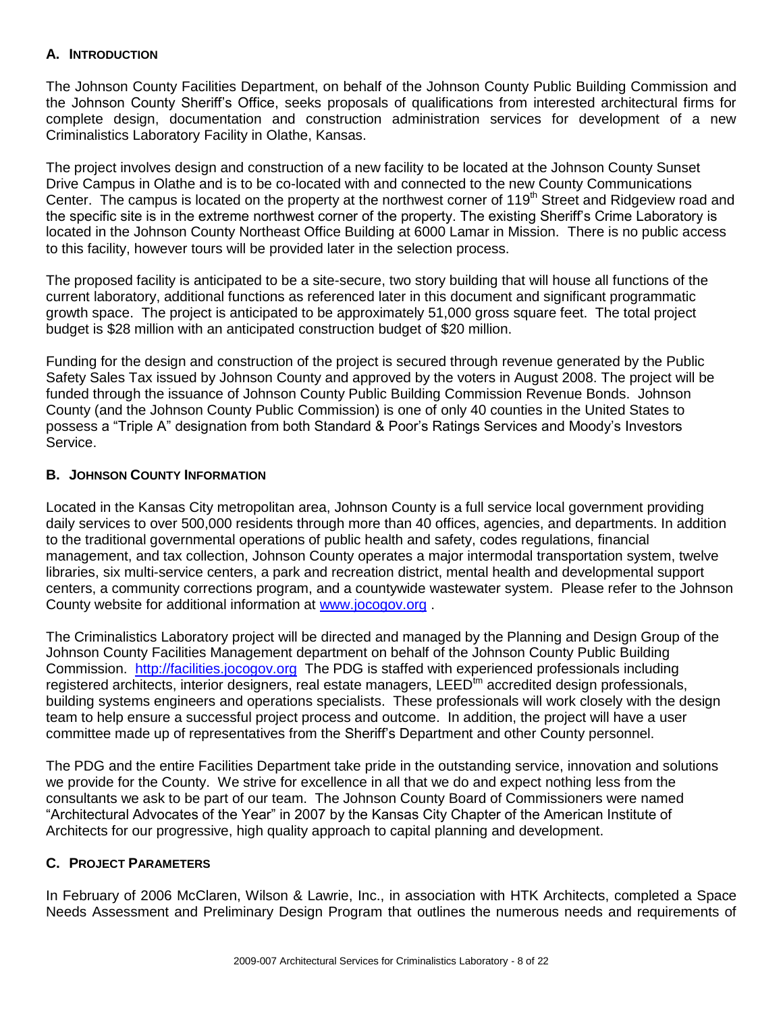### **A. INTRODUCTION**

The Johnson County Facilities Department, on behalf of the Johnson County Public Building Commission and the Johnson County Sheriff's Office, seeks proposals of qualifications from interested architectural firms for complete design, documentation and construction administration services for development of a new Criminalistics Laboratory Facility in Olathe, Kansas.

The project involves design and construction of a new facility to be located at the Johnson County Sunset Drive Campus in Olathe and is to be co-located with and connected to the new County Communications Center. The campus is located on the property at the northwest corner of 119<sup>th</sup> Street and Ridgeview road and the specific site is in the extreme northwest corner of the property. The existing Sheriff's Crime Laboratory is located in the Johnson County Northeast Office Building at 6000 Lamar in Mission. There is no public access to this facility, however tours will be provided later in the selection process.

The proposed facility is anticipated to be a site-secure, two story building that will house all functions of the current laboratory, additional functions as referenced later in this document and significant programmatic growth space. The project is anticipated to be approximately 51,000 gross square feet. The total project budget is \$28 million with an anticipated construction budget of \$20 million.

Funding for the design and construction of the project is secured through revenue generated by the Public Safety Sales Tax issued by Johnson County and approved by the voters in August 2008. The project will be funded through the issuance of Johnson County Public Building Commission Revenue Bonds. Johnson County (and the Johnson County Public Commission) is one of only 40 counties in the United States to possess a "Triple A" designation from both Standard & Poor's Ratings Services and Moody's Investors Service.

### **B. JOHNSON COUNTY INFORMATION**

Located in the Kansas City metropolitan area, Johnson County is a full service local government providing daily services to over 500,000 residents through more than 40 offices, agencies, and departments. In addition to the traditional governmental operations of public health and safety, codes regulations, financial management, and tax collection, Johnson County operates a major intermodal transportation system, twelve libraries, six multi-service centers, a park and recreation district, mental health and developmental support centers, a community corrections program, and a countywide wastewater system. Please refer to the Johnson County website for additional information at [www.jocogov.org](http://www.jocogov.org/) .

The Criminalistics Laboratory project will be directed and managed by the Planning and Design Group of the Johnson County Facilities Management department on behalf of the Johnson County Public Building Commission. [http://facilities.jocogov.org](http://facilities.jocogov.org/) The PDG is staffed with experienced professionals including registered architects, interior designers, real estate managers, LEED<sup>tm</sup> accredited design professionals. building systems engineers and operations specialists. These professionals will work closely with the design team to help ensure a successful project process and outcome. In addition, the project will have a user committee made up of representatives from the Sheriff's Department and other County personnel.

The PDG and the entire Facilities Department take pride in the outstanding service, innovation and solutions we provide for the County. We strive for excellence in all that we do and expect nothing less from the consultants we ask to be part of our team. The Johnson County Board of Commissioners were named "Architectural Advocates of the Year" in 2007 by the Kansas City Chapter of the American Institute of Architects for our progressive, high quality approach to capital planning and development.

### **C. PROJECT PARAMETERS**

In February of 2006 McClaren, Wilson & Lawrie, Inc., in association with HTK Architects, completed a Space Needs Assessment and Preliminary Design Program that outlines the numerous needs and requirements of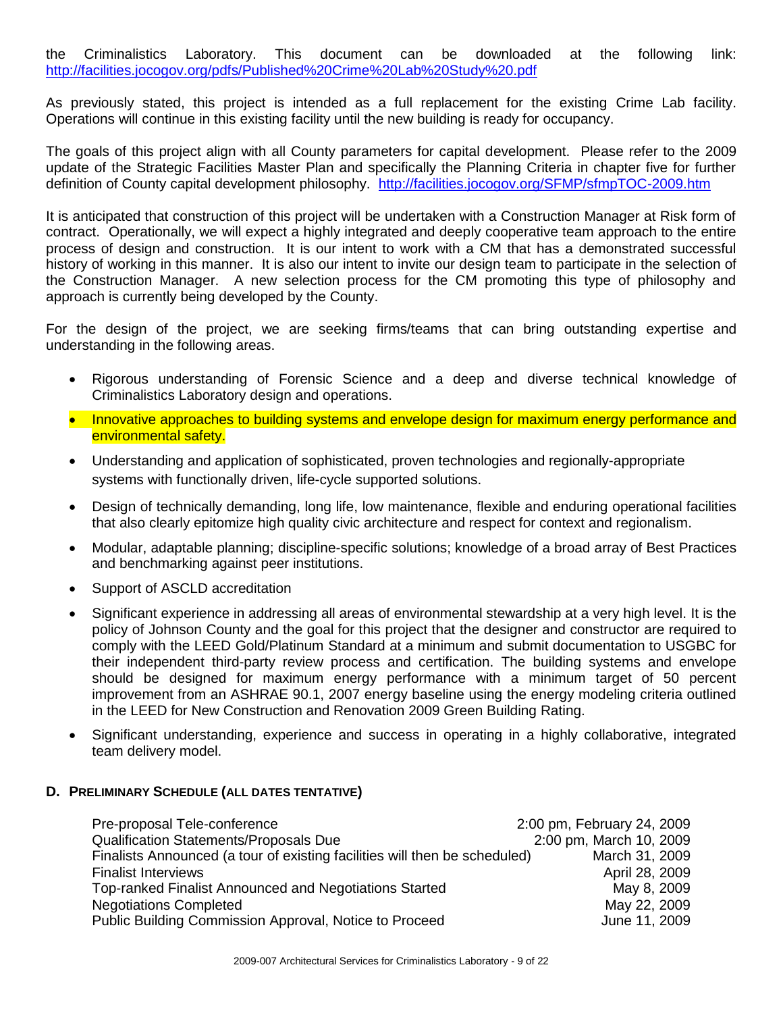the Criminalistics Laboratory. This document can be downloaded at the following link: <http://facilities.jocogov.org/pdfs/Published%20Crime%20Lab%20Study%20.pdf>

As previously stated, this project is intended as a full replacement for the existing Crime Lab facility. Operations will continue in this existing facility until the new building is ready for occupancy.

The goals of this project align with all County parameters for capital development. Please refer to the 2009 update of the Strategic Facilities Master Plan and specifically the Planning Criteria in chapter five for further definition of County capital development philosophy. <http://facilities.jocogov.org/SFMP/sfmpTOC-2009.htm>

It is anticipated that construction of this project will be undertaken with a Construction Manager at Risk form of contract. Operationally, we will expect a highly integrated and deeply cooperative team approach to the entire process of design and construction. It is our intent to work with a CM that has a demonstrated successful history of working in this manner. It is also our intent to invite our design team to participate in the selection of the Construction Manager. A new selection process for the CM promoting this type of philosophy and approach is currently being developed by the County.

For the design of the project, we are seeking firms/teams that can bring outstanding expertise and understanding in the following areas.

- Rigorous understanding of Forensic Science and a deep and diverse technical knowledge of Criminalistics Laboratory design and operations.
- Innovative approaches to building systems and envelope design for maximum energy performance and environmental safety.
- Understanding and application of sophisticated, proven technologies and regionally-appropriate systems with functionally driven, life-cycle supported solutions.
- Design of technically demanding, long life, low maintenance, flexible and enduring operational facilities that also clearly epitomize high quality civic architecture and respect for context and regionalism.
- Modular, adaptable planning; discipline-specific solutions; knowledge of a broad array of Best Practices and benchmarking against peer institutions.
- Support of ASCLD accreditation
- Significant experience in addressing all areas of environmental stewardship at a very high level. It is the policy of Johnson County and the goal for this project that the designer and constructor are required to comply with the LEED Gold/Platinum Standard at a minimum and submit documentation to USGBC for their independent third-party review process and certification. The building systems and envelope should be designed for maximum energy performance with a minimum target of 50 percent improvement from an ASHRAE 90.1, 2007 energy baseline using the energy modeling criteria outlined in the LEED for New Construction and Renovation 2009 Green Building Rating.
- Significant understanding, experience and success in operating in a highly collaborative, integrated team delivery model.

### **D. PRELIMINARY SCHEDULE (ALL DATES TENTATIVE)**

| Pre-proposal Tele-conference                                               | 2:00 pm, February 24, 2009 |
|----------------------------------------------------------------------------|----------------------------|
| <b>Qualification Statements/Proposals Due</b>                              | 2:00 pm, March 10, 2009    |
| Finalists Announced (a tour of existing facilities will then be scheduled) | March 31, 2009             |
| <b>Finalist Interviews</b>                                                 | April 28, 2009             |
| Top-ranked Finalist Announced and Negotiations Started                     | May 8, 2009                |
| <b>Negotiations Completed</b>                                              | May 22, 2009               |
| Public Building Commission Approval, Notice to Proceed                     | June 11, 2009              |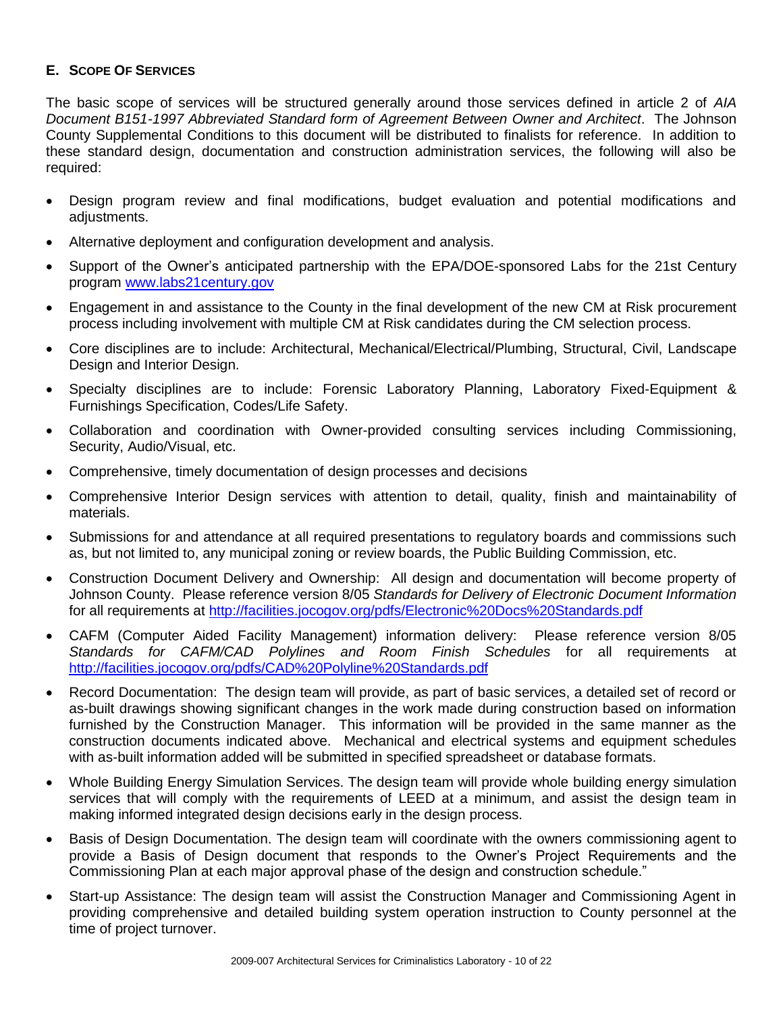### **E. SCOPE OF SERVICES**

The basic scope of services will be structured generally around those services defined in article 2 of *AIA Document B151-1997 Abbreviated Standard form of Agreement Between Owner and Architect*. The Johnson County Supplemental Conditions to this document will be distributed to finalists for reference. In addition to these standard design, documentation and construction administration services, the following will also be required:

- Design program review and final modifications, budget evaluation and potential modifications and adiustments.
- Alternative deployment and configuration development and analysis.
- Support of the Owner's anticipated partnership with the EPA/DOE-sponsored Labs for the 21st Century program [www.labs21century.gov](http://www.labs21century.gov/)
- Engagement in and assistance to the County in the final development of the new CM at Risk procurement process including involvement with multiple CM at Risk candidates during the CM selection process.
- Core disciplines are to include: Architectural, Mechanical/Electrical/Plumbing, Structural, Civil, Landscape Design and Interior Design.
- Specialty disciplines are to include: Forensic Laboratory Planning, Laboratory Fixed-Equipment & Furnishings Specification, Codes/Life Safety.
- Collaboration and coordination with Owner-provided consulting services including Commissioning, Security, Audio/Visual, etc.
- Comprehensive, timely documentation of design processes and decisions
- Comprehensive Interior Design services with attention to detail, quality, finish and maintainability of materials.
- Submissions for and attendance at all required presentations to regulatory boards and commissions such as, but not limited to, any municipal zoning or review boards, the Public Building Commission, etc.
- Construction Document Delivery and Ownership: All design and documentation will become property of Johnson County. Please reference version 8/05 *Standards for Delivery of Electronic Document Information*  for all requirements at <http://facilities.jocogov.org/pdfs/Electronic%20Docs%20Standards.pdf>
- CAFM (Computer Aided Facility Management) information delivery: Please reference version 8/05 *Standards for CAFM/CAD Polylines and Room Finish Schedules* for all requirements at <http://facilities.jocogov.org/pdfs/CAD%20Polyline%20Standards.pdf>
- Record Documentation: The design team will provide, as part of basic services, a detailed set of record or as-built drawings showing significant changes in the work made during construction based on information furnished by the Construction Manager. This information will be provided in the same manner as the construction documents indicated above. Mechanical and electrical systems and equipment schedules with as-built information added will be submitted in specified spreadsheet or database formats.
- Whole Building Energy Simulation Services. The design team will provide whole building energy simulation services that will comply with the requirements of LEED at a minimum, and assist the design team in making informed integrated design decisions early in the design process.
- Basis of Design Documentation. The design team will coordinate with the owners commissioning agent to provide a Basis of Design document that responds to the Owner's Project Requirements and the Commissioning Plan at each major approval phase of the design and construction schedule."
- Start-up Assistance: The design team will assist the Construction Manager and Commissioning Agent in providing comprehensive and detailed building system operation instruction to County personnel at the time of project turnover.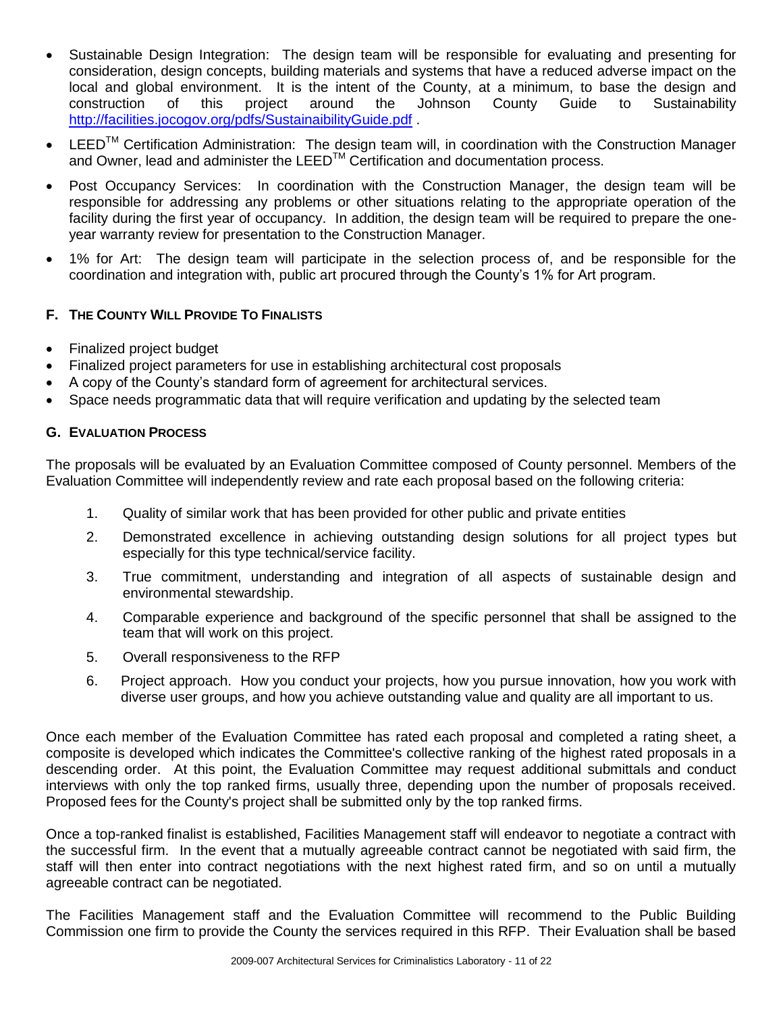- Sustainable Design Integration: The design team will be responsible for evaluating and presenting for consideration, design concepts, building materials and systems that have a reduced adverse impact on the local and global environment. It is the intent of the County, at a minimum, to base the design and construction of this project around the Johnson County Guide to Sustainability construction of this project around the Johnson County Guide to Sustainability <http://facilities.jocogov.org/pdfs/SustainaibilityGuide.pdf>
- LEED<sup>™</sup> Certification Administration: The design team will, in coordination with the Construction Manager and Owner, lead and administer the LEED<sup>™</sup> Certification and documentation process.
- Post Occupancy Services: In coordination with the Construction Manager, the design team will be responsible for addressing any problems or other situations relating to the appropriate operation of the facility during the first year of occupancy. In addition, the design team will be required to prepare the oneyear warranty review for presentation to the Construction Manager.
- 1% for Art: The design team will participate in the selection process of, and be responsible for the coordination and integration with, public art procured through the County's 1% for Art program.

### **F. THE COUNTY WILL PROVIDE TO FINALISTS**

- Finalized project budget
- Finalized project parameters for use in establishing architectural cost proposals
- A copy of the County's standard form of agreement for architectural services.
- Space needs programmatic data that will require verification and updating by the selected team

### **G. EVALUATION PROCESS**

The proposals will be evaluated by an Evaluation Committee composed of County personnel. Members of the Evaluation Committee will independently review and rate each proposal based on the following criteria:

- 1. Quality of similar work that has been provided for other public and private entities
- 2. Demonstrated excellence in achieving outstanding design solutions for all project types but especially for this type technical/service facility.
- 3. True commitment, understanding and integration of all aspects of sustainable design and environmental stewardship.
- 4. Comparable experience and background of the specific personnel that shall be assigned to the team that will work on this project.
- 5. Overall responsiveness to the RFP
- 6. Project approach. How you conduct your projects, how you pursue innovation, how you work with diverse user groups, and how you achieve outstanding value and quality are all important to us.

Once each member of the Evaluation Committee has rated each proposal and completed a rating sheet, a composite is developed which indicates the Committee's collective ranking of the highest rated proposals in a descending order. At this point, the Evaluation Committee may request additional submittals and conduct interviews with only the top ranked firms, usually three, depending upon the number of proposals received. Proposed fees for the County's project shall be submitted only by the top ranked firms.

Once a top-ranked finalist is established, Facilities Management staff will endeavor to negotiate a contract with the successful firm. In the event that a mutually agreeable contract cannot be negotiated with said firm, the staff will then enter into contract negotiations with the next highest rated firm, and so on until a mutually agreeable contract can be negotiated.

The Facilities Management staff and the Evaluation Committee will recommend to the Public Building Commission one firm to provide the County the services required in this RFP. Their Evaluation shall be based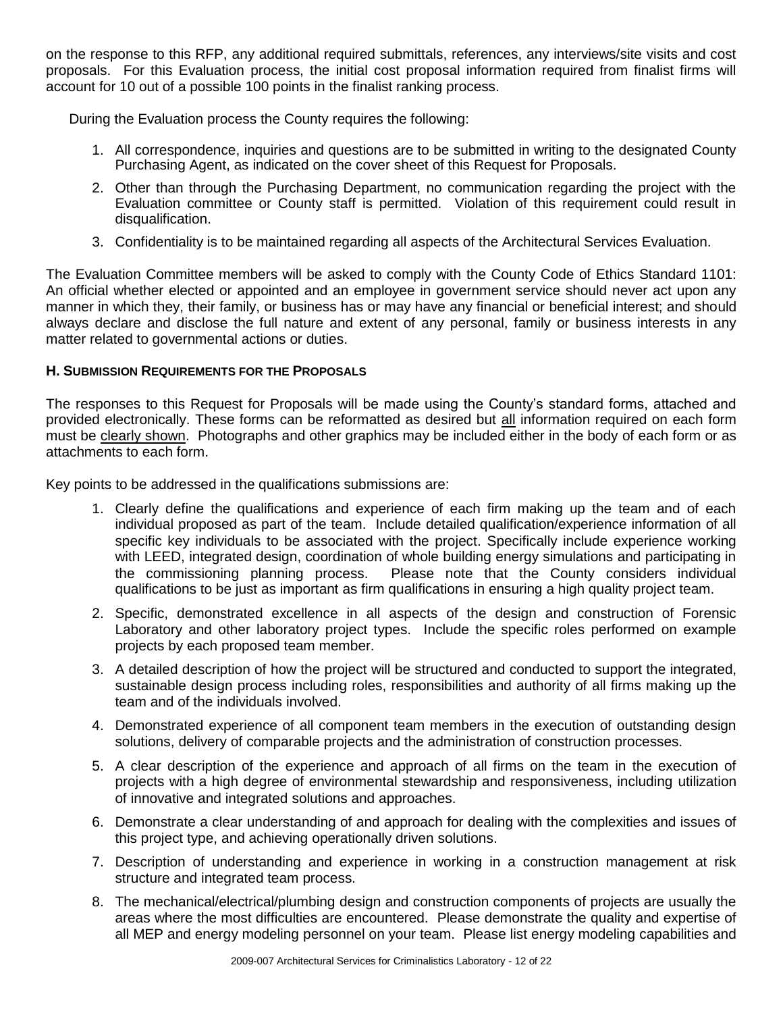on the response to this RFP, any additional required submittals, references, any interviews/site visits and cost proposals. For this Evaluation process, the initial cost proposal information required from finalist firms will account for 10 out of a possible 100 points in the finalist ranking process.

During the Evaluation process the County requires the following:

- 1. All correspondence, inquiries and questions are to be submitted in writing to the designated County Purchasing Agent, as indicated on the cover sheet of this Request for Proposals.
- 2. Other than through the Purchasing Department, no communication regarding the project with the Evaluation committee or County staff is permitted. Violation of this requirement could result in disqualification.
- 3. Confidentiality is to be maintained regarding all aspects of the Architectural Services Evaluation.

The Evaluation Committee members will be asked to comply with the County Code of Ethics Standard 1101: An official whether elected or appointed and an employee in government service should never act upon any manner in which they, their family, or business has or may have any financial or beneficial interest; and should always declare and disclose the full nature and extent of any personal, family or business interests in any matter related to governmental actions or duties.

### **H. SUBMISSION REQUIREMENTS FOR THE PROPOSALS**

The responses to this Request for Proposals will be made using the County's standard forms, attached and provided electronically. These forms can be reformatted as desired but all information required on each form must be clearly shown. Photographs and other graphics may be included either in the body of each form or as attachments to each form.

Key points to be addressed in the qualifications submissions are:

- 1. Clearly define the qualifications and experience of each firm making up the team and of each individual proposed as part of the team. Include detailed qualification/experience information of all specific key individuals to be associated with the project. Specifically include experience working with LEED, integrated design, coordination of whole building energy simulations and participating in the commissioning planning process. Please note that the County considers individual qualifications to be just as important as firm qualifications in ensuring a high quality project team.
- 2. Specific, demonstrated excellence in all aspects of the design and construction of Forensic Laboratory and other laboratory project types. Include the specific roles performed on example projects by each proposed team member.
- 3. A detailed description of how the project will be structured and conducted to support the integrated, sustainable design process including roles, responsibilities and authority of all firms making up the team and of the individuals involved.
- 4. Demonstrated experience of all component team members in the execution of outstanding design solutions, delivery of comparable projects and the administration of construction processes.
- 5. A clear description of the experience and approach of all firms on the team in the execution of projects with a high degree of environmental stewardship and responsiveness, including utilization of innovative and integrated solutions and approaches.
- 6. Demonstrate a clear understanding of and approach for dealing with the complexities and issues of this project type, and achieving operationally driven solutions.
- 7. Description of understanding and experience in working in a construction management at risk structure and integrated team process.
- 8. The mechanical/electrical/plumbing design and construction components of projects are usually the areas where the most difficulties are encountered. Please demonstrate the quality and expertise of all MEP and energy modeling personnel on your team. Please list energy modeling capabilities and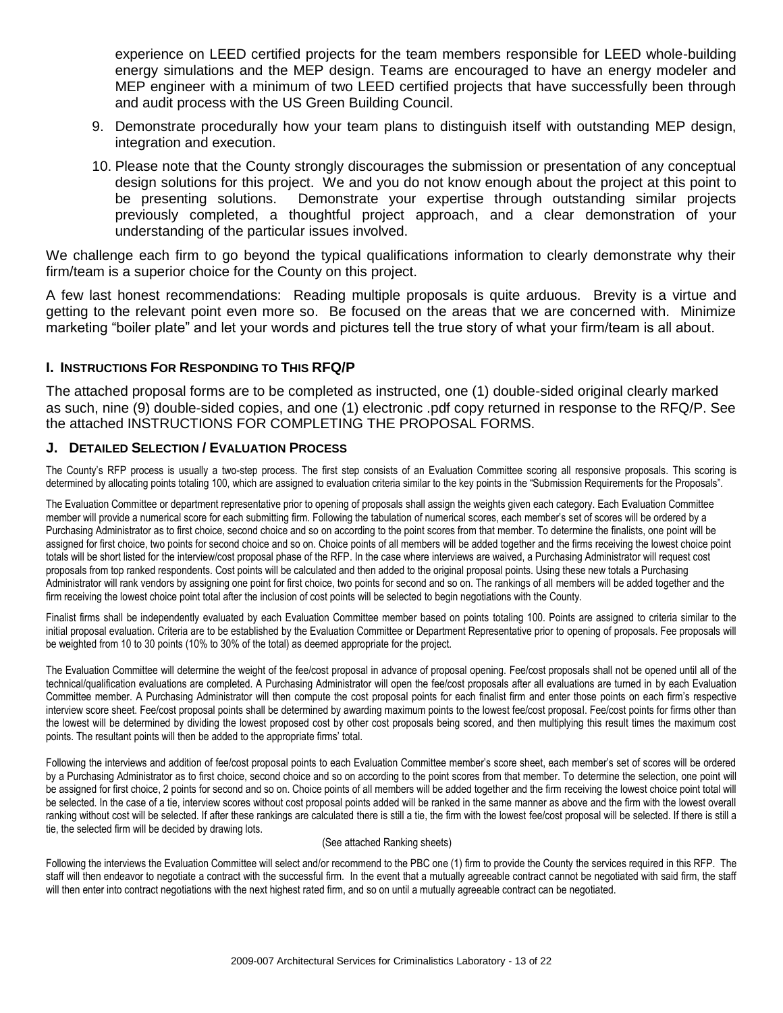experience on LEED certified projects for the team members responsible for LEED whole-building energy simulations and the MEP design. Teams are encouraged to have an energy modeler and MEP engineer with a minimum of two LEED certified projects that have successfully been through and audit process with the US Green Building Council.

- 9. Demonstrate procedurally how your team plans to distinguish itself with outstanding MEP design, integration and execution.
- 10. Please note that the County strongly discourages the submission or presentation of any conceptual design solutions for this project. We and you do not know enough about the project at this point to be presenting solutions. Demonstrate your expertise through outstanding similar projects previously completed, a thoughtful project approach, and a clear demonstration of your understanding of the particular issues involved.

We challenge each firm to go beyond the typical qualifications information to clearly demonstrate why their firm/team is a superior choice for the County on this project.

A few last honest recommendations: Reading multiple proposals is quite arduous. Brevity is a virtue and getting to the relevant point even more so. Be focused on the areas that we are concerned with. Minimize marketing "boiler plate" and let your words and pictures tell the true story of what your firm/team is all about.

### **I. INSTRUCTIONS FOR RESPONDING TO THIS RFQ/P**

The attached proposal forms are to be completed as instructed, one (1) double-sided original clearly marked as such, nine (9) double-sided copies, and one (1) electronic .pdf copy returned in response to the RFQ/P. See the attached INSTRUCTIONS FOR COMPLETING THE PROPOSAL FORMS.

### **J. DETAILED SELECTION / EVALUATION PROCESS**

The County's RFP process is usually a two-step process. The first step consists of an Evaluation Committee scoring all responsive proposals. This scoring is determined by allocating points totaling 100, which are assigned to evaluation criteria similar to the key points in the "Submission Requirements for the Proposals".

The Evaluation Committee or department representative prior to opening of proposals shall assign the weights given each category. Each Evaluation Committee member will provide a numerical score for each submitting firm. Following the tabulation of numerical scores, each member's set of scores will be ordered by a Purchasing Administrator as to first choice, second choice and so on according to the point scores from that member. To determine the finalists, one point will be assigned for first choice, two points for second choice and so on. Choice points of all members will be added together and the firms receiving the lowest choice point totals will be short listed for the interview/cost proposal phase of the RFP. In the case where interviews are waived, a Purchasing Administrator will request cost proposals from top ranked respondents. Cost points will be calculated and then added to the original proposal points. Using these new totals a Purchasing Administrator will rank vendors by assigning one point for first choice, two points for second and so on. The rankings of all members will be added together and the firm receiving the lowest choice point total after the inclusion of cost points will be selected to begin negotiations with the County.

Finalist firms shall be independently evaluated by each Evaluation Committee member based on points totaling 100. Points are assigned to criteria similar to the initial proposal evaluation. Criteria are to be established by the Evaluation Committee or Department Representative prior to opening of proposals. Fee proposals will be weighted from 10 to 30 points (10% to 30% of the total) as deemed appropriate for the project.

The Evaluation Committee will determine the weight of the fee/cost proposal in advance of proposal opening. Fee/cost proposals shall not be opened until all of the technical/qualification evaluations are completed. A Purchasing Administrator will open the fee/cost proposals after all evaluations are turned in by each Evaluation Committee member. A Purchasing Administrator will then compute the cost proposal points for each finalist firm and enter those points on each firm's respective interview score sheet. Fee/cost proposal points shall be determined by awarding maximum points to the lowest fee/cost proposal. Fee/cost points for firms other than the lowest will be determined by dividing the lowest proposed cost by other cost proposals being scored, and then multiplying this result times the maximum cost points. The resultant points will then be added to the appropriate firms' total.

Following the interviews and addition of fee/cost proposal points to each Evaluation Committee member's score sheet, each member's set of scores will be ordered by a Purchasing Administrator as to first choice, second choice and so on according to the point scores from that member. To determine the selection, one point will be assigned for first choice, 2 points for second and so on. Choice points of all members will be added together and the firm receiving the lowest choice point total will be selected. In the case of a tie, interview scores without cost proposal points added will be ranked in the same manner as above and the firm with the lowest overall ranking without cost will be selected. If after these rankings are calculated there is still a tie, the firm with the lowest fee/cost proposal will be selected. If there is still a tie, the selected firm will be decided by drawing lots.

### (See attached Ranking sheets)

Following the interviews the Evaluation Committee will select and/or recommend to the PBC one (1) firm to provide the County the services required in this RFP. The staff will then endeavor to negotiate a contract with the successful firm. In the event that a mutually agreeable contract cannot be negotiated with said firm, the staff will then enter into contract negotiations with the next highest rated firm, and so on until a mutually agreeable contract can be negotiated.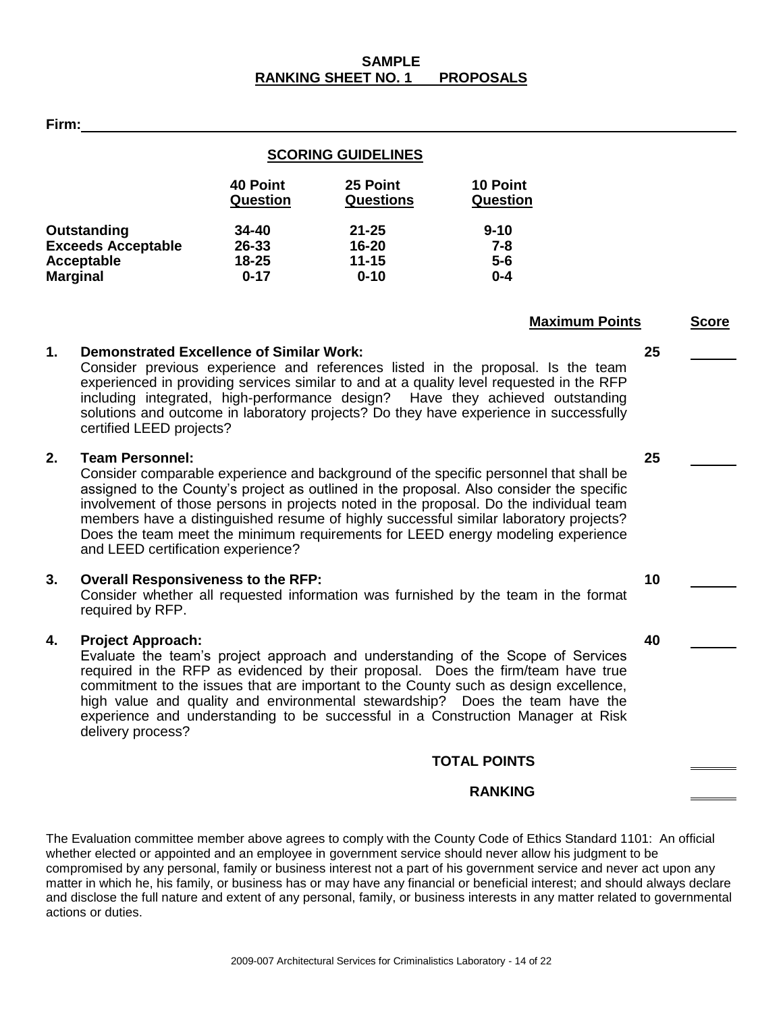**40 Point 25 Point 10 Point Question Questions Question**

## **1. Demonstrated Excellence of Similar Work: 25**

Consider previous experience and references listed in the proposal. Is the team experienced in providing services similar to and at a quality level requested in the RFP including integrated, high-performance design? Have they achieved outstanding solutions and outcome in laboratory projects? Do they have experience in successfully certified LEED projects?

**SCORING GUIDELINES**

**Outstanding 34-40 21-25 9-10 Exceeds Acceptable 26-33 16-20 7-8 Acceptable 18-25 11-15 5-6**

### **2. Team Personnel: 25**

**Firm:**

**Marginal** 

Consider comparable experience and background of the specific personnel that shall be assigned to the County's project as outlined in the proposal. Also consider the specific involvement of those persons in projects noted in the proposal. Do the individual team members have a distinguished resume of highly successful similar laboratory projects? Does the team meet the minimum requirements for LEED energy modeling experience and LEED certification experience?

### **3. Overall Responsiveness to the RFP: 10**

Consider whether all requested information was furnished by the team in the format required by RFP.

## **4. Project Approach: 40**

Evaluate the team's project approach and understanding of the Scope of Services required in the RFP as evidenced by their proposal. Does the firm/team have true commitment to the issues that are important to the County such as design excellence, high value and quality and environmental stewardship? Does the team have the experience and understanding to be successful in a Construction Manager at Risk delivery process?

### **TOTAL POINTS**

### **RANKING**

The Evaluation committee member above agrees to comply with the County Code of Ethics Standard 1101: An official whether elected or appointed and an employee in government service should never allow his judgment to be compromised by any personal, family or business interest not a part of his government service and never act upon any matter in which he, his family, or business has or may have any financial or beneficial interest; and should always declare and disclose the full nature and extent of any personal, family, or business interests in any matter related to governmental actions or duties.

**Maximum Points Score**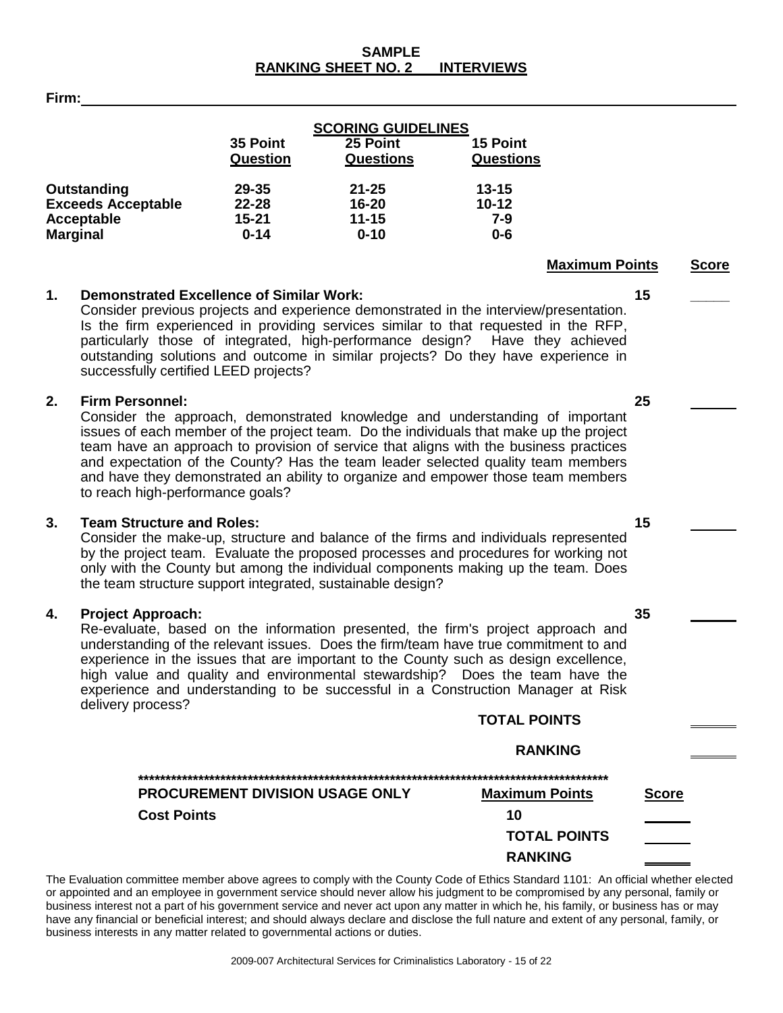### **SAMPLE RANKING SHEET NO. 2 INTERVIEWS**

**Firm:**

|                           |                 | <b>SCORING GUIDELINES</b> |                  |
|---------------------------|-----------------|---------------------------|------------------|
|                           | 35 Point        | 25 Point                  | 15 Point         |
|                           | <b>Question</b> | <b>Questions</b>          | <b>Questions</b> |
| Outstanding               | 29-35           | $21 - 25$                 | $13 - 15$        |
| <b>Exceeds Acceptable</b> | $22 - 28$       | 16-20                     | $10 - 12$        |
| Acceptable                | $15 - 21$       | $11 - 15$                 | 7-9              |
| <b>Marginal</b>           | $0 - 14$        | $0 - 10$                  | $0 - 6$          |

### **1. Demonstrated Excellence of Similar Work: 15 \_\_\_\_\_**

Consider previous projects and experience demonstrated in the interview/presentation. Is the firm experienced in providing services similar to that requested in the RFP, particularly those of integrated, high-performance design? Have they achieved outstanding solutions and outcome in similar projects? Do they have experience in successfully certified LEED projects?

### **2. Firm Personnel: 25**

Consider the approach, demonstrated knowledge and understanding of important issues of each member of the project team. Do the individuals that make up the project team have an approach to provision of service that aligns with the business practices and expectation of the County? Has the team leader selected quality team members and have they demonstrated an ability to organize and empower those team members to reach high-performance goals?

### **3. Team Structure and Roles: 15**

Consider the make-up, structure and balance of the firms and individuals represented by the project team. Evaluate the proposed processes and procedures for working not only with the County but among the individual components making up the team. Does the team structure support integrated, sustainable design?

### **4. Project Approach: 35**

Re-evaluate, based on the information presented, the firm's project approach and understanding of the relevant issues. Does the firm/team have true commitment to and experience in the issues that are important to the County such as design excellence, high value and quality and environmental stewardship? Does the team have the experience and understanding to be successful in a Construction Manager at Risk delivery process? **TOTAL POINTS**

|                                        | <b>TOTAL POINTS</b>   |              |
|----------------------------------------|-----------------------|--------------|
|                                        | <b>RANKING</b>        |              |
|                                        |                       |              |
| <b>PROCUREMENT DIVISION USAGE ONLY</b> | <b>Maximum Points</b> | <b>Score</b> |
| <b>Cost Points</b>                     | 10                    |              |
|                                        | <b>TOTAL POINTS</b>   |              |
|                                        | <b>RANKING</b>        |              |

The Evaluation committee member above agrees to comply with the County Code of Ethics Standard 1101: An official whether elected or appointed and an employee in government service should never allow his judgment to be compromised by any personal, family or business interest not a part of his government service and never act upon any matter in which he, his family, or business has or may have any financial or beneficial interest; and should always declare and disclose the full nature and extent of any personal, family, or business interests in any matter related to governmental actions or duties.

**Maximum Points Score**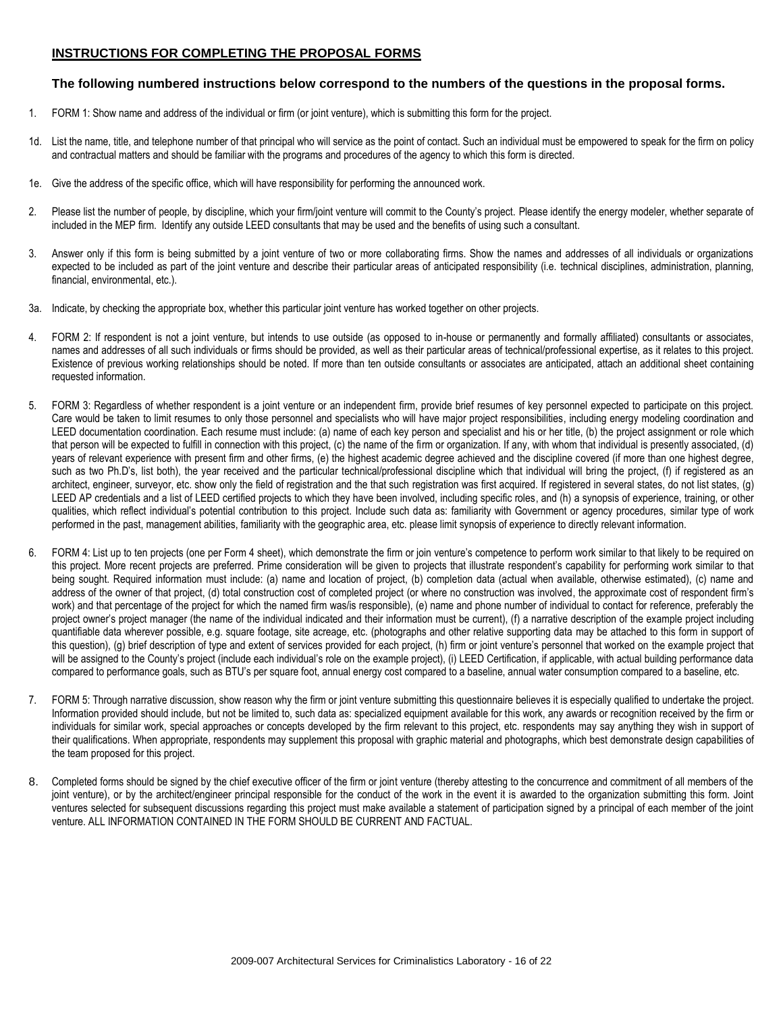### **INSTRUCTIONS FOR COMPLETING THE PROPOSAL FORMS**

### **The following numbered instructions below correspond to the numbers of the questions in the proposal forms.**

- 1. FORM 1: Show name and address of the individual or firm (or joint venture), which is submitting this form for the project.
- 1d. List the name, title, and telephone number of that principal who will service as the point of contact. Such an individual must be empowered to speak for the firm on policy and contractual matters and should be familiar with the programs and procedures of the agency to which this form is directed.
- 1e. Give the address of the specific office, which will have responsibility for performing the announced work.
- 2. Please list the number of people, by discipline, which your firm/joint venture will commit to the County's project. Please identify the energy modeler, whether separate of included in the MEP firm. Identify any outside LEED consultants that may be used and the benefits of using such a consultant.
- 3. Answer only if this form is being submitted by a joint venture of two or more collaborating firms. Show the names and addresses of all individuals or organizations expected to be included as part of the joint venture and describe their particular areas of anticipated responsibility (i.e. technical disciplines, administration, planning, financial, environmental, etc.).
- 3a. Indicate, by checking the appropriate box, whether this particular joint venture has worked together on other projects.
- 4. FORM 2: If respondent is not a joint venture, but intends to use outside (as opposed to in-house or permanently and formally affiliated) consultants or associates, names and addresses of all such individuals or firms should be provided, as well as their particular areas of technical/professional expertise, as it relates to this project. Existence of previous working relationships should be noted. If more than ten outside consultants or associates are anticipated, attach an additional sheet containing requested information.
- 5. FORM 3: Regardless of whether respondent is a joint venture or an independent firm, provide brief resumes of key personnel expected to participate on this project. Care would be taken to limit resumes to only those personnel and specialists who will have major project responsibilities, including energy modeling coordination and LEED documentation coordination. Each resume must include: (a) name of each key person and specialist and his or her title, (b) the project assignment or role which that person will be expected to fulfill in connection with this project, (c) the name of the firm or organization. If any, with whom that individual is presently associated, (d) years of relevant experience with present firm and other firms, (e) the highest academic degree achieved and the discipline covered (if more than one highest degree, such as two Ph.D's, list both), the year received and the particular technical/professional discipline which that individual will bring the project, (f) if registered as an architect, engineer, surveyor, etc. show only the field of registration and the that such registration was first acquired. If registered in several states, do not list states, (g) LEED AP credentials and a list of LEED certified projects to which they have been involved, including specific roles, and (h) a synopsis of experience, training, or other qualities, which reflect individual's potential contribution to this project. Include such data as: familiarity with Government or agency procedures, similar type of work performed in the past, management abilities, familiarity with the geographic area, etc. please limit synopsis of experience to directly relevant information.
- 6. FORM 4: List up to ten projects (one per Form 4 sheet), which demonstrate the firm or join venture's competence to perform work similar to that likely to be required on this project. More recent projects are preferred. Prime consideration will be given to projects that illustrate respondent's capability for performing work similar to that being sought. Required information must include: (a) name and location of project, (b) completion data (actual when available, otherwise estimated), (c) name and address of the owner of that project, (d) total construction cost of completed project (or where no construction was involved, the approximate cost of respondent firm's work) and that percentage of the project for which the named firm was/is responsible), (e) name and phone number of individual to contact for reference, preferably the project owner's project manager (the name of the individual indicated and their information must be current), (f) a narrative description of the example project including quantifiable data wherever possible, e.g. square footage, site acreage, etc. (photographs and other relative supporting data may be attached to this form in support of this question), (g) brief description of type and extent of services provided for each project, (h) firm or joint venture's personnel that worked on the example project that will be assigned to the County's project (include each individual's role on the example project), (i) LEED Certification, if applicable, with actual building performance data compared to performance goals, such as BTU's per square foot, annual energy cost compared to a baseline, annual water consumption compared to a baseline, etc.
- 7. FORM 5: Through narrative discussion, show reason why the firm or joint venture submitting this questionnaire believes it is especially qualified to undertake the project. Information provided should include, but not be limited to, such data as: specialized equipment available for this work, any awards or recognition received by the firm or individuals for similar work, special approaches or concepts developed by the firm relevant to this project, etc. respondents may say anything they wish in support of their qualifications. When appropriate, respondents may supplement this proposal with graphic material and photographs, which best demonstrate design capabilities of the team proposed for this project.
- 8. Completed forms should be signed by the chief executive officer of the firm or joint venture (thereby attesting to the concurrence and commitment of all members of the joint venture), or by the architect/engineer principal responsible for the conduct of the work in the event it is awarded to the organization submitting this form. Joint ventures selected for subsequent discussions regarding this project must make available a statement of participation signed by a principal of each member of the joint venture. ALL INFORMATION CONTAINED IN THE FORM SHOULD BE CURRENT AND FACTUAL.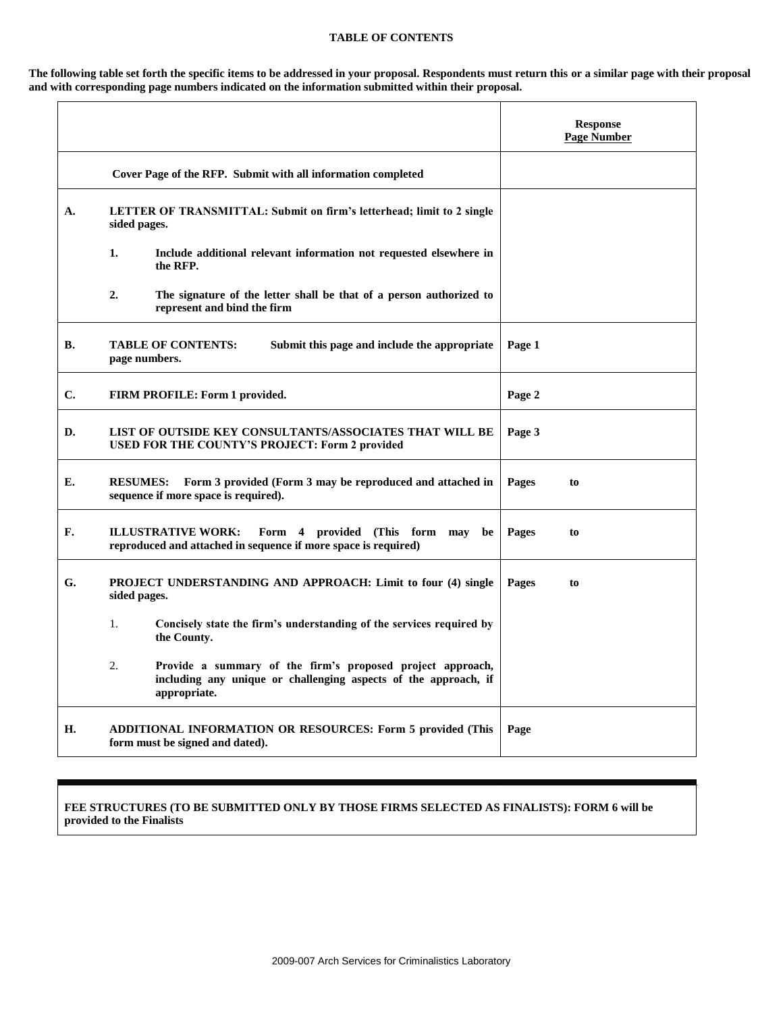#### **TABLE OF CONTENTS**

**The following table set forth the specific items to be addressed in your proposal. Respondents must return this or a similar page with their proposal and with corresponding page numbers indicated on the information submitted within their proposal.**

|    |                                                                                                                                                     | <b>Response</b><br><b>Page Number</b> |
|----|-----------------------------------------------------------------------------------------------------------------------------------------------------|---------------------------------------|
|    | Cover Page of the RFP. Submit with all information completed                                                                                        |                                       |
| A. | LETTER OF TRANSMITTAL: Submit on firm's letterhead; limit to 2 single<br>sided pages.                                                               |                                       |
|    | 1.<br>Include additional relevant information not requested elsewhere in<br>the RFP.                                                                |                                       |
|    | 2.<br>The signature of the letter shall be that of a person authorized to<br>represent and bind the firm                                            |                                       |
| В. | <b>TABLE OF CONTENTS:</b><br>Submit this page and include the appropriate<br>page numbers.                                                          | Page 1                                |
| C. | <b>FIRM PROFILE: Form 1 provided.</b>                                                                                                               | Page 2                                |
| D. | LIST OF OUTSIDE KEY CONSULTANTS/ASSOCIATES THAT WILL BE<br>USED FOR THE COUNTY'S PROJECT: Form 2 provided                                           | Page 3                                |
| E. | <b>RESUMES:</b><br>Form 3 provided (Form 3 may be reproduced and attached in<br>sequence if more space is required).                                | Pages<br>to                           |
| F. | <b>ILLUSTRATIVE WORK:</b><br>Form 4 provided (This form may<br>be<br>reproduced and attached in sequence if more space is required)                 | Pages<br>to                           |
| G. | PROJECT UNDERSTANDING AND APPROACH: Limit to four (4) single<br>sided pages.                                                                        | Pages<br>to                           |
|    | $\mathbf{1}$ .<br>Concisely state the firm's understanding of the services required by<br>the County.                                               |                                       |
|    | 2.<br>Provide a summary of the firm's proposed project approach,<br>including any unique or challenging aspects of the approach, if<br>appropriate. |                                       |
| Н. | ADDITIONAL INFORMATION OR RESOURCES: Form 5 provided (This<br>form must be signed and dated).                                                       | Page                                  |

### **FEE STRUCTURES (TO BE SUBMITTED ONLY BY THOSE FIRMS SELECTED AS FINALISTS): FORM 6 will be provided to the Finalists**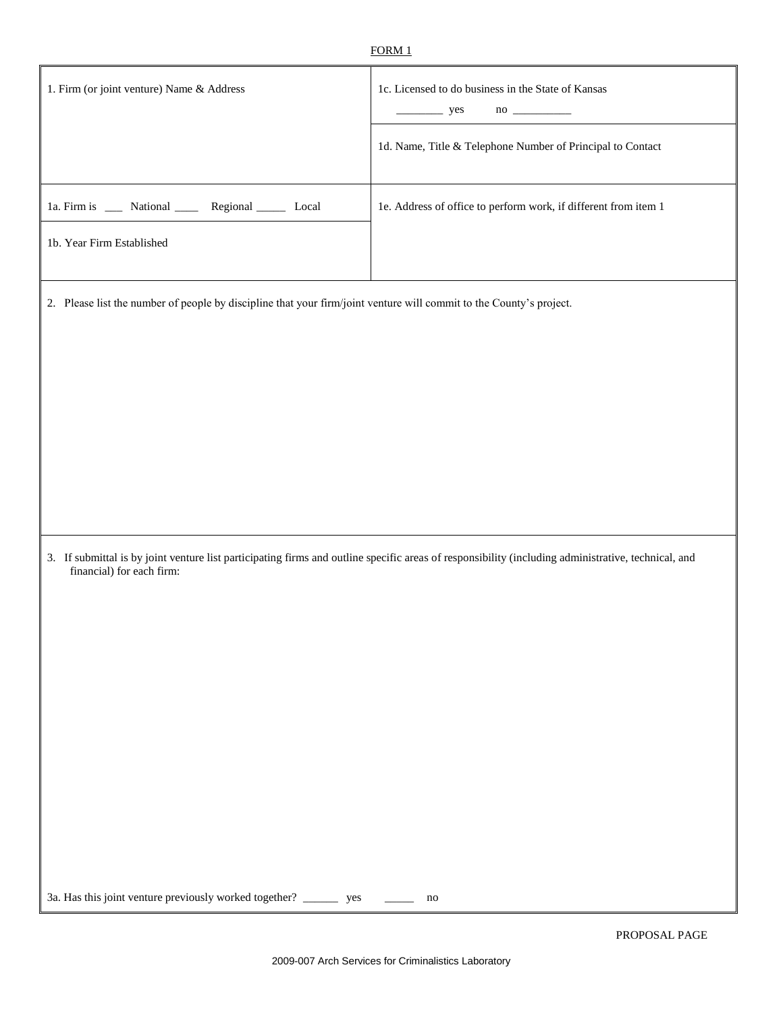| 1. Firm (or joint venture) Name & Address                                                                           | 1c. Licensed to do business in the State of Kansas<br>$\frac{\ }{\ }$ yes                                                                           |
|---------------------------------------------------------------------------------------------------------------------|-----------------------------------------------------------------------------------------------------------------------------------------------------|
|                                                                                                                     | 1d. Name, Title & Telephone Number of Principal to Contact                                                                                          |
| 1a. Firm is _____ National _______ Regional _______ Local                                                           | 1e. Address of office to perform work, if different from item 1                                                                                     |
| 1b. Year Firm Established                                                                                           |                                                                                                                                                     |
| 2. Please list the number of people by discipline that your firm/joint venture will commit to the County's project. |                                                                                                                                                     |
|                                                                                                                     |                                                                                                                                                     |
|                                                                                                                     |                                                                                                                                                     |
|                                                                                                                     |                                                                                                                                                     |
|                                                                                                                     |                                                                                                                                                     |
| financial) for each firm:                                                                                           | 3. If submittal is by joint venture list participating firms and outline specific areas of responsibility (including administrative, technical, and |
|                                                                                                                     |                                                                                                                                                     |
|                                                                                                                     |                                                                                                                                                     |
|                                                                                                                     |                                                                                                                                                     |
|                                                                                                                     |                                                                                                                                                     |
|                                                                                                                     |                                                                                                                                                     |
|                                                                                                                     |                                                                                                                                                     |
| 3a. Has this joint venture previously worked together? __________ yes                                               | no                                                                                                                                                  |

Ш

Г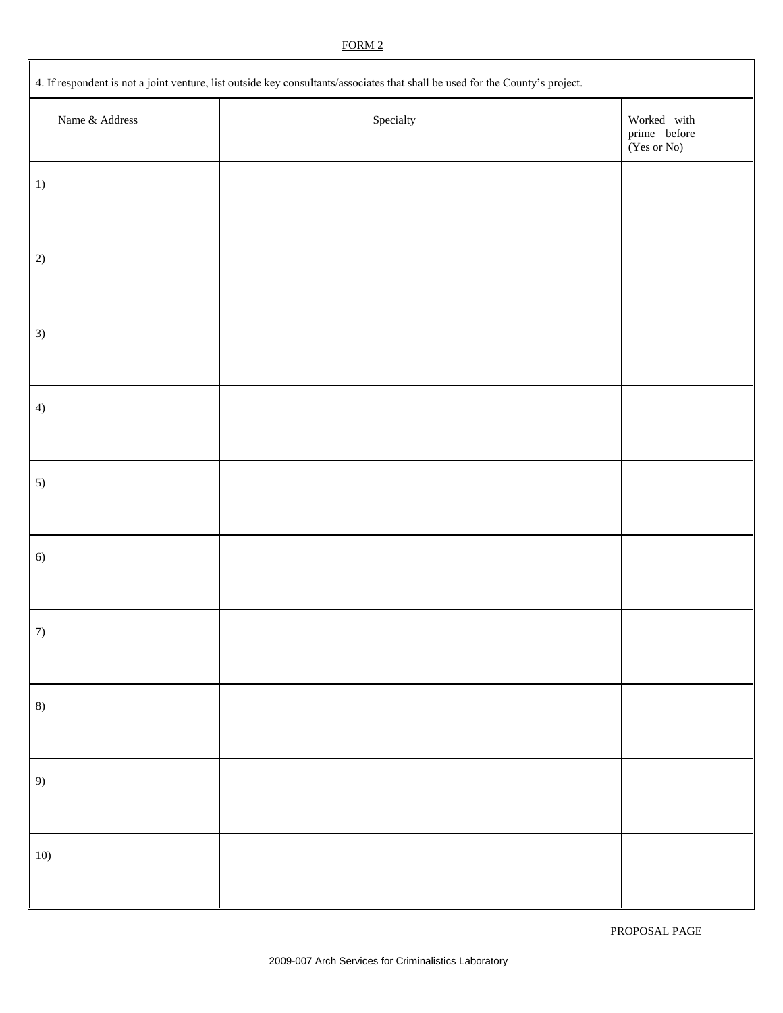### FORM 2

| 4. If respondent is not a joint venture, list outside key consultants/associates that shall be used for the County's project. |                    |                                                               |  |  |
|-------------------------------------------------------------------------------------------------------------------------------|--------------------|---------------------------------------------------------------|--|--|
| Name & Address                                                                                                                | ${\rm Speciality}$ | Worked with<br>$\emph{prime}$ before<br>$(Yes \text{ or No})$ |  |  |
| 1)                                                                                                                            |                    |                                                               |  |  |
| 2)                                                                                                                            |                    |                                                               |  |  |
| 3)                                                                                                                            |                    |                                                               |  |  |
| 4)                                                                                                                            |                    |                                                               |  |  |
| 5)                                                                                                                            |                    |                                                               |  |  |
| 6)                                                                                                                            |                    |                                                               |  |  |
| 7)                                                                                                                            |                    |                                                               |  |  |
| 8)                                                                                                                            |                    |                                                               |  |  |
| 9)                                                                                                                            |                    |                                                               |  |  |
| $10)$                                                                                                                         |                    |                                                               |  |  |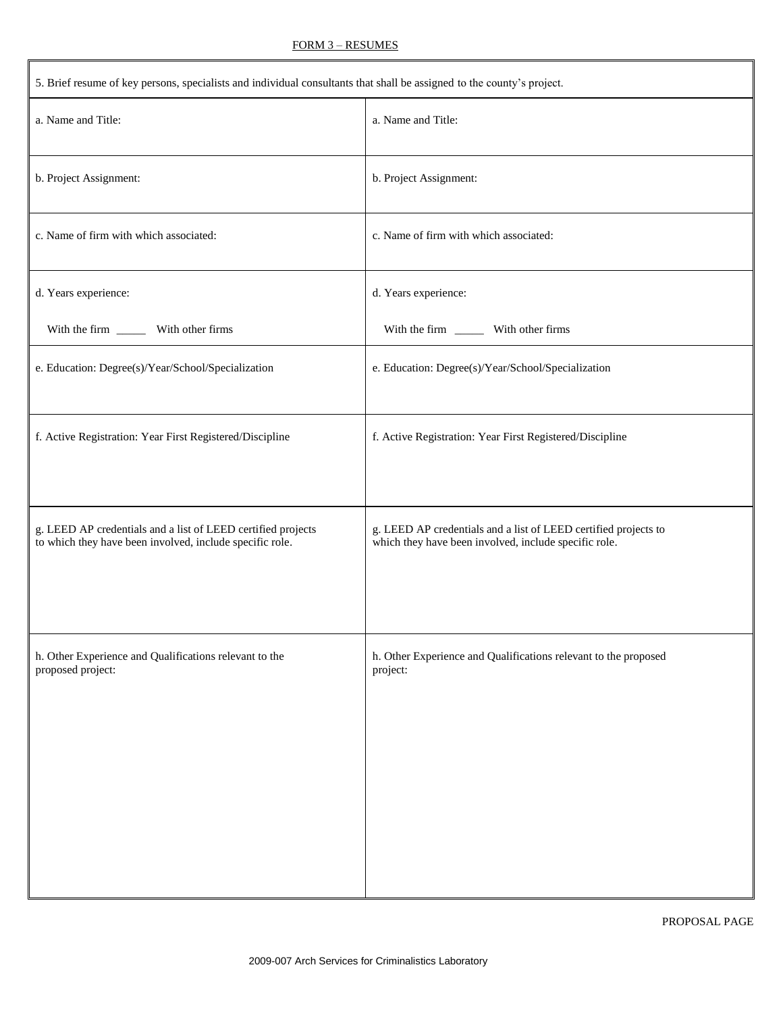| 5. Brief resume of key persons, specialists and individual consultants that shall be assigned to the county's project.   |                                                                                                                          |  |  |
|--------------------------------------------------------------------------------------------------------------------------|--------------------------------------------------------------------------------------------------------------------------|--|--|
| a. Name and Title:                                                                                                       | a. Name and Title:                                                                                                       |  |  |
| b. Project Assignment:                                                                                                   | b. Project Assignment:                                                                                                   |  |  |
| c. Name of firm with which associated:                                                                                   | c. Name of firm with which associated:                                                                                   |  |  |
| d. Years experience:                                                                                                     | d. Years experience:                                                                                                     |  |  |
| With the firm _________ With other firms                                                                                 |                                                                                                                          |  |  |
| e. Education: Degree(s)/Year/School/Specialization                                                                       | e. Education: Degree(s)/Year/School/Specialization                                                                       |  |  |
| f. Active Registration: Year First Registered/Discipline                                                                 | f. Active Registration: Year First Registered/Discipline                                                                 |  |  |
| g. LEED AP credentials and a list of LEED certified projects<br>to which they have been involved, include specific role. | g. LEED AP credentials and a list of LEED certified projects to<br>which they have been involved, include specific role. |  |  |
| h. Other Experience and Qualifications relevant to the<br>proposed project:                                              | h. Other Experience and Qualifications relevant to the proposed<br>project:                                              |  |  |

FORM 3 – RESUMES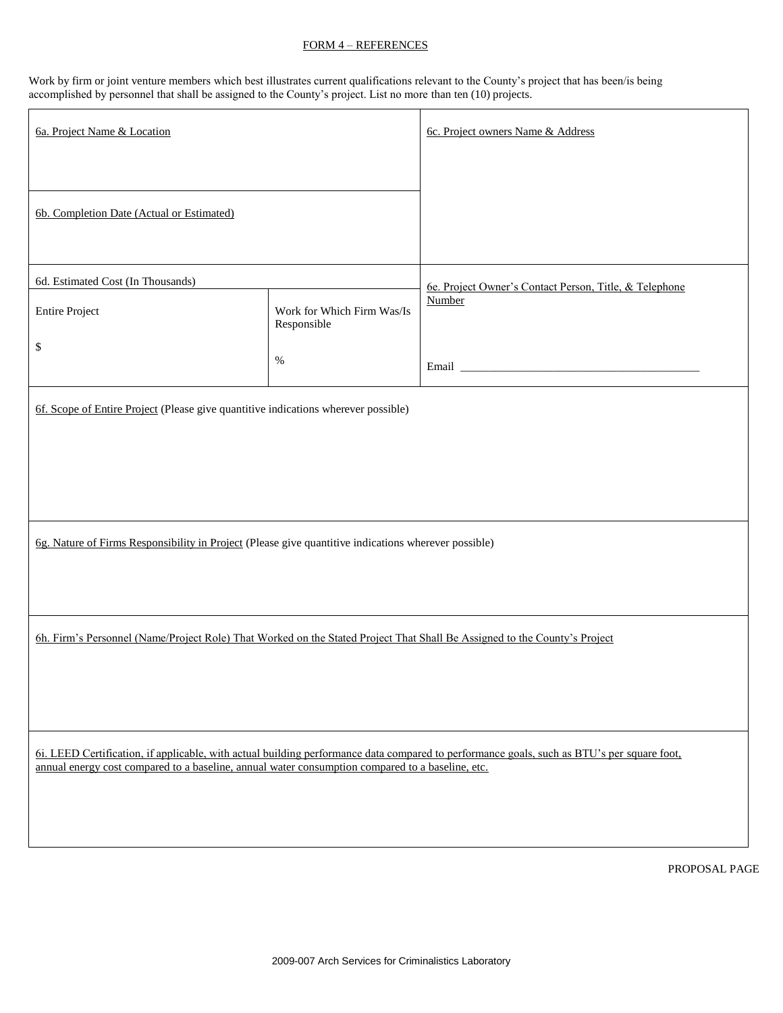### FORM 4 – REFERENCES

Work by firm or joint venture members which best illustrates current qualifications relevant to the County's project that has been/is being accomplished by personnel that shall be assigned to the County's project. List no more than ten (10) projects.

| 6a. Project Name & Location                                                                                                                                                                                                                    |                                           | 6c. Project owners Name & Address                      |
|------------------------------------------------------------------------------------------------------------------------------------------------------------------------------------------------------------------------------------------------|-------------------------------------------|--------------------------------------------------------|
|                                                                                                                                                                                                                                                |                                           |                                                        |
| 6b. Completion Date (Actual or Estimated)                                                                                                                                                                                                      |                                           |                                                        |
| 6d. Estimated Cost (In Thousands)                                                                                                                                                                                                              |                                           | 6e. Project Owner's Contact Person, Title, & Telephone |
| <b>Entire Project</b>                                                                                                                                                                                                                          | Work for Which Firm Was/Is<br>Responsible | Number                                                 |
| \$                                                                                                                                                                                                                                             | $\%$                                      |                                                        |
| 6f. Scope of Entire Project (Please give quantitive indications wherever possible)                                                                                                                                                             |                                           |                                                        |
|                                                                                                                                                                                                                                                |                                           |                                                        |
|                                                                                                                                                                                                                                                |                                           |                                                        |
| 6g. Nature of Firms Responsibility in Project (Please give quantitive indications wherever possible)                                                                                                                                           |                                           |                                                        |
|                                                                                                                                                                                                                                                |                                           |                                                        |
| 6h. Firm's Personnel (Name/Project Role) That Worked on the Stated Project That Shall Be Assigned to the County's Project                                                                                                                      |                                           |                                                        |
|                                                                                                                                                                                                                                                |                                           |                                                        |
|                                                                                                                                                                                                                                                |                                           |                                                        |
| 6i. LEED Certification, if applicable, with actual building performance data compared to performance goals, such as BTU's per square foot,<br>annual energy cost compared to a baseline, annual water consumption compared to a baseline, etc. |                                           |                                                        |
|                                                                                                                                                                                                                                                |                                           |                                                        |
|                                                                                                                                                                                                                                                |                                           | PROPOSAL PAGE                                          |